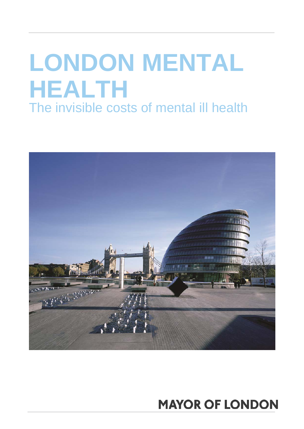# **LONDON MENTAL HEALTH**  The invisible costs of mental ill health



# **MAYOR OF LONDON**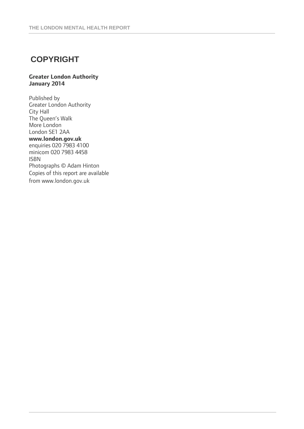## **COPYRIGHT**

#### **Greater London Authority January 2014**

Published by Greater London Authority City Hall The Queen's Walk More London London SE1 2AA **www.london.gov.uk**  enquiries 020 7983 4100 minicom 020 7983 4458 ISBN Photographs © Adam Hinton Copies of this report are available from www.london.gov.uk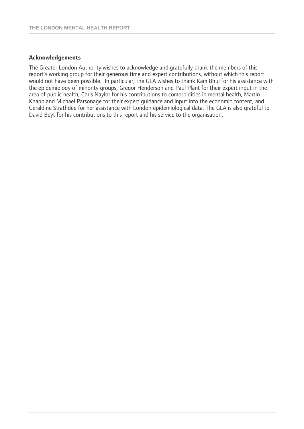#### **Acknowledgements**

The Greater London Authority wishes to acknowledge and gratefully thank the members of this report's working group for their generous time and expert contributions, without which this report would not have been possible. In particular, the GLA wishes to thank Kam Bhui for his assistance with the epidemiology of minority groups, Gregor Henderson and Paul Plant for their expert input in the area of public health, Chris Naylor for his contributions to comorbidities in mental health, Martin Knapp and Michael Parsonage for their expert guidance and input into the economic content, and Geraldine Strathdee for her assistance with London epidemiological data. The GLA is also grateful to David Beyt for his contributions to this report and his service to the organisation.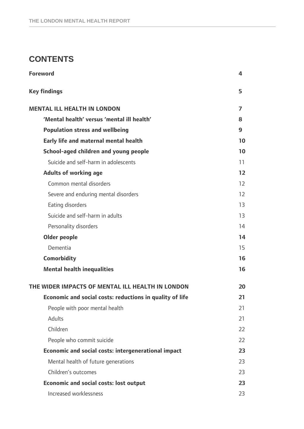### **CONTENTS**

| <b>Foreword</b>                                            | 4                 |
|------------------------------------------------------------|-------------------|
| <b>Key findings</b>                                        | 5                 |
| <b>MENTAL ILL HEALTH IN LONDON</b>                         | 7                 |
| 'Mental health' versus 'mental ill health'                 | 8                 |
| <b>Population stress and wellbeing</b>                     | 9                 |
| Early life and maternal mental health                      | 10                |
| School-aged children and young people                      | 10                |
| Suicide and self-harm in adolescents                       | 11                |
| <b>Adults of working age</b>                               | $12$              |
| Common mental disorders                                    | 12                |
| Severe and enduring mental disorders                       | $12 \overline{ }$ |
| Eating disorders                                           | 13                |
| Suicide and self-harm in adults                            | 13                |
| Personality disorders                                      | 14                |
| <b>Older people</b>                                        | 14                |
| Dementia                                                   | 15                |
| <b>Comorbidity</b>                                         | 16                |
| <b>Mental health inequalities</b>                          | 16                |
| THE WIDER IMPACTS OF MENTAL ILL HEALTH IN LONDON           | 20                |
| Economic and social costs: reductions in quality of life   | 21                |
| People with poor mental health                             | 21                |
| Adults                                                     | 21                |
| Children                                                   | 22                |
| People who commit suicide                                  | 22                |
| <b>Economic and social costs: intergenerational impact</b> | 23                |
| Mental health of future generations                        | 23                |
| Children's outcomes                                        | 23                |
| <b>Economic and social costs: lost output</b>              | 23                |
| Increased worklessness                                     | 23                |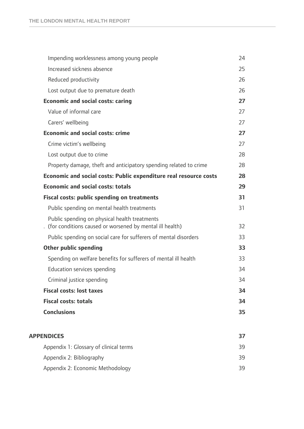| Impending worklessness among young people                                                                   | 24 |
|-------------------------------------------------------------------------------------------------------------|----|
| Increased sickness absence                                                                                  | 25 |
| Reduced productivity                                                                                        | 26 |
| Lost output due to premature death                                                                          | 26 |
| <b>Economic and social costs: caring</b>                                                                    | 27 |
| Value of informal care                                                                                      | 27 |
| Carers' wellbeing                                                                                           | 27 |
| <b>Economic and social costs: crime</b>                                                                     | 27 |
| Crime victim's wellbeing                                                                                    | 27 |
| Lost output due to crime                                                                                    | 28 |
| Property damage, theft and anticipatory spending related to crime                                           | 28 |
| Economic and social costs: Public expenditure real resource costs                                           | 28 |
| <b>Economic and social costs: totals</b>                                                                    | 29 |
| <b>Fiscal costs: public spending on treatments</b>                                                          | 31 |
| Public spending on mental health treatments                                                                 | 31 |
| Public spending on physical health treatments<br>. (for conditions caused or worsened by mental ill health) | 32 |
| Public spending on social care for sufferers of mental disorders                                            | 33 |
| <b>Other public spending</b>                                                                                | 33 |
| Spending on welfare benefits for sufferers of mental ill health                                             | 33 |
| Education services spending                                                                                 | 34 |
| Criminal justice spending                                                                                   | 34 |
| <b>Fiscal costs: lost taxes</b>                                                                             | 34 |
| <b>Fiscal costs: totals</b>                                                                                 | 34 |
| <b>Conclusions</b>                                                                                          | 35 |
|                                                                                                             |    |
| <b>APPENDICES</b>                                                                                           | 37 |
| Appendix 1: Glossary of clinical terms                                                                      | 39 |
| Appendix 2: Bibliography                                                                                    | 39 |
| Appendix 2: Economic Methodology                                                                            | 39 |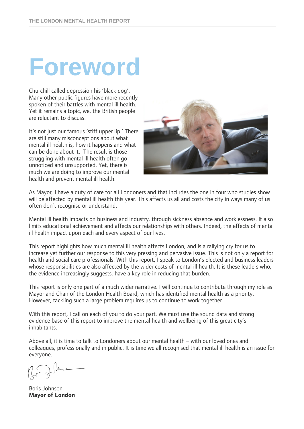# **Foreword**

Churchill called depression his 'black dog'. Many other public figures have more recently spoken of their battles with mental ill health. Yet it remains a topic, we, the British people are reluctant to discuss.

It's not just our famous 'stiff upper lip.' There are still many misconceptions about what mental ill health is, how it happens and what can be done about it. The result is those struggling with mental ill health often go unnoticed and unsupported. Yet, there is much we are doing to improve our mental health and prevent mental ill health.



As Mayor, I have a duty of care for all Londoners and that includes the one in four who studies show will be affected by mental ill health this year. This affects us all and costs the city in ways many of us often don't recognise or understand.

Mental ill health impacts on business and industry, through sickness absence and worklessness. It also limits educational achievement and affects our relationships with others. Indeed, the effects of mental ill health impact upon each and every aspect of our lives.

This report highlights how much mental ill health affects London, and is a rallying cry for us to increase yet further our response to this very pressing and pervasive issue. This is not only a report for health and social care professionals. With this report, I speak to London's elected and business leaders whose responsibilities are also affected by the wider costs of mental ill health. It is these leaders who, the evidence increasingly suggests, have a key role in reducing that burden.

This report is only one part of a much wider narrative. I will continue to contribute through my role as Mayor and Chair of the London Health Board, which has identified mental health as a priority. However, tackling such a large problem requires us to continue to work together.

With this report, I call on each of you to do your part. We must use the sound data and strong evidence base of this report to improve the mental health and wellbeing of this great city's inhabitants.

Above all, it is time to talk to Londoners about our mental health – with our loved ones and colleagues, professionally and in public. It is time we all recognised that mental ill health is an issue for everyone.

luce

Boris Johnson **Mayor of London**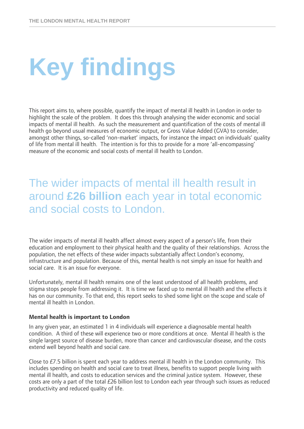# **Key findings**

This report aims to, where possible, quantify the impact of mental ill health in London in order to highlight the scale of the problem. It does this through analysing the wider economic and social impacts of mental ill health. As such the measurement and quantification of the costs of mental ill health go beyond usual measures of economic output, or Gross Value Added (GVA) to consider, amongst other things, so-called 'non-market' impacts, for instance the impact on individuals' quality of life from mental ill health. The intention is for this to provide for a more 'all-encompassing' measure of the economic and social costs of mental ill health to London.

## The wider impacts of mental ill health result in around **£26 billion** each year in total economic and social costs to London.

The wider impacts of mental ill health affect almost every aspect of a person's life, from their education and employment to their physical health and the quality of their relationships. Across the population, the net effects of these wider impacts substantially affect London's economy, infrastructure and population. Because of this, mental health is not simply an issue for health and social care. It is an issue for everyone.

Unfortunately, mental ill health remains one of the least understood of all health problems, and stigma stops people from addressing it. It is time we faced up to mental ill health and the effects it has on our community. To that end, this report seeks to shed some light on the scope and scale of mental ill health in London.

#### **Mental health is important to London**

In any given year, an estimated 1 in 4 individuals will experience a diagnosable mental health condition. A third of these will experience two or more conditions at once. Mental ill health is the single largest source of disease burden, more than cancer and cardiovascular disease, and the costs extend well beyond health and social care.

Close to  $E$ 7.5 billion is spent each year to address mental ill health in the London community. This includes spending on health and social care to treat illness, benefits to support people living with mental ill health, and costs to education services and the criminal justice system. However, these costs are only a part of the total £26 billion lost to London each year through such issues as reduced productivity and reduced quality of life.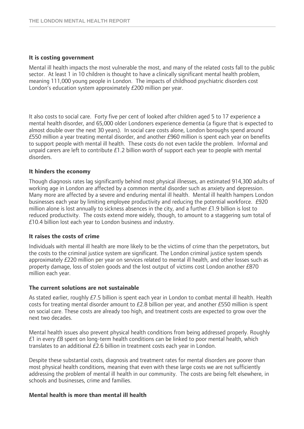#### **It is costing government**

Mental ill health impacts the most vulnerable the most, and many of the related costs fall to the public sector. At least 1 in 10 children is thought to have a clinically significant mental health problem, meaning 111,000 young people in London. The impacts of childhood psychiatric disorders cost London's education system approximately £200 million per year.

It also costs to social care. Forty five per cent of looked after children aged 5 to 17 experience a mental health disorder, and 65,000 older Londoners experience dementia (a figure that is expected to almost double over the next 30 years). In social care costs alone, London boroughs spend around £550 million a year treating mental disorder, and another £960 million is spent each year on benefits to support people with mental ill health. These costs do not even tackle the problem. Informal and unpaid carers are left to contribute £1.2 billion worth of support each year to people with mental disorders.

#### **It hinders the economy**

Though diagnosis rates lag significantly behind most physical illnesses, an estimated 914,300 adults of working age in London are affected by a common mental disorder such as anxiety and depression. Many more are affected by a severe and enduring mental ill health. Mental ill health hampers London businesses each year by limiting employee productivity and reducing the potential workforce. £920 million alone is lost annually to sickness absences in the city, and a further £1.9 billion is lost to reduced productivity. The costs extend more widely, though, to amount to a staggering sum total of £10.4 billion lost each year to London business and industry.

#### **It raises the costs of crime**

Individuals with mental ill health are more likely to be the victims of crime than the perpetrators, but the costs to the criminal justice system are significant. The London criminal justice system spends approximately £220 million per year on services related to mental ill health, and other losses such as property damage, loss of stolen goods and the lost output of victims cost London another £870 million each year.

#### **The current solutions are not sustainable**

As stated earlier, roughly £7.5 billion is spent each year in London to combat mental ill health. Health costs for treating mental disorder amount to  $E2.8$  billion per year, and another  $E550$  million is spent on social care. These costs are already too high, and treatment costs are expected to grow over the next two decades.

Mental health issues also prevent physical health conditions from being addressed properly. Roughly £1 in every £8 spent on long-term health conditions can be linked to poor mental health, which translates to an additional £2.6 billion in treatment costs each year in London.

Despite these substantial costs, diagnosis and treatment rates for mental disorders are poorer than most physical health conditions*,* meaning that even with these large costs we are not sufficiently addressing the problem of mental ill health in our community. The costs are being felt elsewhere, in schools and businesses, crime and families.

#### **Mental health is more than mental ill health**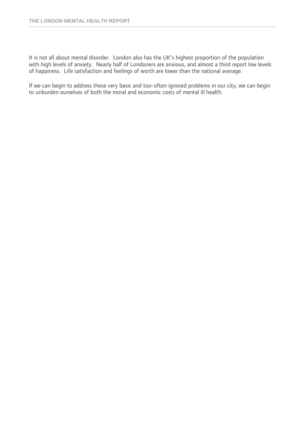It is not all about mental disorder. London also has the UK's highest proportion of the population with high levels of anxiety. Nearly half of Londoners are anxious, and almost a third report low levels of happiness. Life satisfaction and feelings of worth are lower than the national average.

If we can begin to address these very basic and too-often ignored problems in our city, we can begin to unburden ourselves of both the moral and economic costs of mental ill health.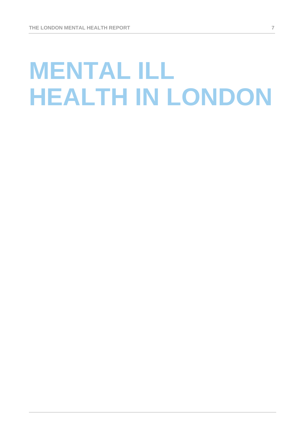# **MENTAL ILL HEALTH IN LONDON**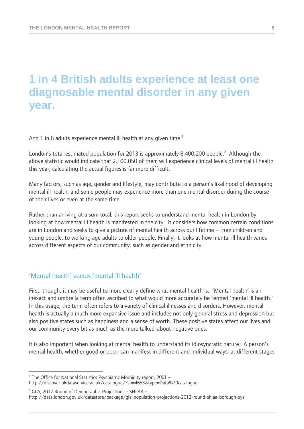## **1 in 4 British adults experience at least one diagnosable mental disorder in any given year.**

And 1 in 6 adults experience mental ill health at any given time.<sup>1</sup>

London's total estimated population for 2013 is approximately 8,400,200 people.<sup>2</sup> Although the above statistic would indicate that 2,100,050 of them will experience clinical levels of mental ill health this year, calculating the actual figures is far more difficult.

Many factors, such as age, gender and lifestyle, may contribute to a person's likelihood of developing mental ill health, and some people may experience more than one mental disorder during the course of their lives or even at the same time.

Rather than arriving at a sum total, this report seeks to understand mental health in London by looking at how mental ill health is manifested in the city. It considers how common certain conditions are in London and seeks to give a picture of mental health across our lifetime – from children and young people, to working age adults to older people. Finally, it looks at how mental ill health varies across different aspects of our community, such as gender and ethnicity.

### 'Mental health' versus 'mental ill health'

First, though, it may be useful to more clearly define what mental health is. 'Mental health' is an inexact and umbrella term often ascribed to what would more accurately be termed 'mental ill health.' In this usage, the term often refers to a variety of clinical illnesses and disorders. However, mental health is actually a much more expansive issue and includes not only general stress and depression but also positive states such as happiness and a sense of worth. These positive states affect our lives and our community every bit as much as the more talked-about negative ones.

It is also important when looking at mental health to understand its idiosyncratic nature. A person's mental health, whether good or poor, can manifest in different and individual ways, at different stages

<sup>1</sup> The Office for National Statistics Psychiatric Morbidity report, 2001 -

 $\overline{a}$ 

http://discover.ukdataservice.ac.uk/catalogue/?sn=4653&type=Data%20catalogue

 $2$  GLA, 2012 Round of Demographic Projections – SHLAA –

http://data.london.gov.uk/datastore/package/gla-population-projections-2012-round-shlaa-borough-sya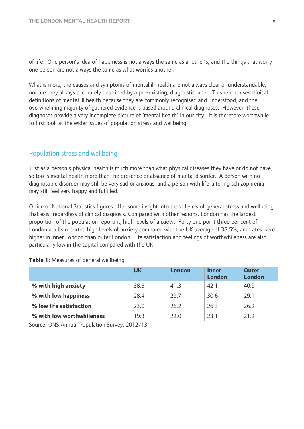of life. One person's idea of happiness is not always the same as another's, and the things that worry one person are not always the same as what worries another.

What is more, the causes and symptoms of mental ill health are not always clear or understandable, nor are they always accurately described by a pre-existing, diagnostic label. This report uses clinical definitions of mental ill health because they are commonly recognised and understood, and the overwhelming majority of gathered evidence is based around clinical diagnoses. However, these diagnoses provide a very incomplete picture of 'mental health' in our city. It is therefore worthwhile to first look at the wider issues of population stress and wellbeing.

#### Population stress and wellbeing

Just as a person's physical health is much more than what physical diseases they have or do not have, so too is mental health more than the presence or absence of mental disorder. A person with no diagnosable disorder may still be very sad or anxious, and a person with life-altering schizophrenia may still feel very happy and fulfilled.

Office of National Statistics figures offer some insight into these levels of general stress and wellbeing that exist regardless of clinical diagnosis. Compared with other regions, London has the largest proportion of the population reporting high levels of anxiety. Forty one point three per cent of London adults reported high levels of anxiety compared with the UK average of 38.5%, and rates were higher in inner London than outer London. Life satisfaction and feelings of worthwhileness are also particularly low in the capital compared with the UK.

|                           | <b>UK</b> | London | <b>Inner</b><br>London | <b>Outer</b><br>London |
|---------------------------|-----------|--------|------------------------|------------------------|
| % with high anxiety       | 38.5      | 41.3   | 42.1                   | 40.9                   |
| % with low happiness      | 28.4      | 29.7   | 30.6                   | 29.1                   |
| % low life satisfaction   | 23.0      | 26.2   | 26.3                   | 26.2                   |
| % with low worthwhileness | 19.3      | 22.O   | 231                    | 21.2                   |

**Table 1:** Measures of general wellbeing

Source: ONS Annual Population Survey, 2012/13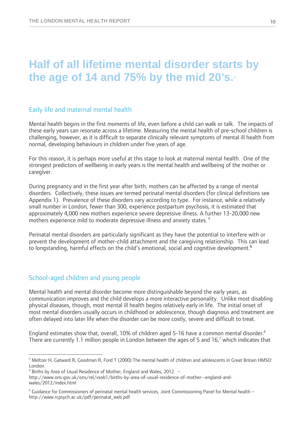## **Half of all lifetime mental disorder starts by**  the age of 14 and  $75%$  by the mid  $20's$ .

### Early life and maternal mental health

Mental health begins in the first moments of life, even before a child can walk or talk. The impacts of these early years can resonate across a lifetime. Measuring the mental health of pre-school children is challenging, however, as it is difficult to separate clinically relevant symptoms of mental ill health from normal, developing behaviours in children under five years of age.

For this reason, it is perhaps more useful at this stage to look at maternal mental health. One of the strongest predictors of wellbeing in early years is the mental health and wellbeing of the mother or caregiver.

During pregnancy and in the first year after birth, mothers can be affected by a range of mental disorders. Collectively, these issues are termed perinatal mental disorders (for clinical definitions see Appendix 1). Prevalence of these disorders vary according to type. For instance, while a relatively small number in London, fewer than 300, experience postpartum psychosis, it is estimated that approximately 4,000 new mothers experience severe depressive illness. A further 13-20,000 new mothers experience mild to moderate depressive illness and anxiety states.<sup>4</sup>

Perinatal mental disorders are particularly significant as they have the potential to interfere with or prevent the development of mother-child attachment and the caregiving relationship. This can lead to longstanding, harmful effects on the child's emotional, social and cognitive development.**<sup>5</sup>**

### School-aged children and young people

 $\overline{a}$ 

Mental health and mental disorder become more distinguishable beyond the early years, as communication improves and the child develops a more interactive personality. Unlike most disabling physical diseases, though, most mental ill health begins relatively early in life. The initial onset of most mental disorders usually occurs in childhood or adolescence, though diagnosis and treatment are often delayed into later life when the disorder can be more costly, severe and difficult to treat.

England estimates show that, overall, 10% of children aged 5-16 have a common mental disorder.<sup>6</sup> There are currently 1.1 million people in London between the ages of 5 and 16,<sup>7</sup> which indicates that

<sup>&</sup>lt;sup>3</sup> Meltzer H, Gatward R, Goodman R, Ford T (2000) The mental health of children and adolescents in Great Britain HMSO: London.

<sup>&</sup>lt;sup>4</sup> Births by Area of Usual Residence of Mother, England and Wales, 2012. -

http://www.ons.gov.uk/ons/rel/vsob1/births-by-area-of-usual-residence-of-mother--england-andwales/2012/index.html

<sup>&</sup>lt;sup>5</sup> Guidance for Commissioners of perinatal mental health services, Joint Commissioning Panel for Mental health – http://www.rcpsych.ac.uk/pdf/perinatal\_web.pdf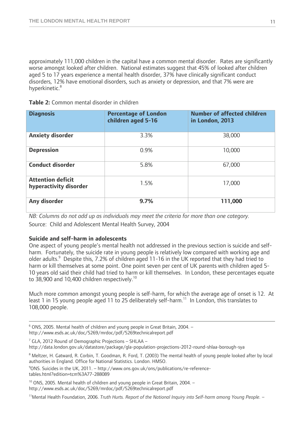approximately 111,000 children in the capital have a common mental disorder. Rates are significantly worse amongst looked after children. National estimates suggest that 45% of looked after children aged 5 to 17 years experience a mental health disorder, 37% have clinically significant conduct disorders, 12% have emotional disorders, such as anxiety or depression, and that 7% were are hyperkinetic.<sup>8</sup>

|  | Table 2: Common mental disorder in children |  |  |  |  |
|--|---------------------------------------------|--|--|--|--|
|--|---------------------------------------------|--|--|--|--|

| <b>Diagnosis</b>                                   | <b>Percentage of London</b><br>children aged 5-16 | Number of affected children<br>in London, 2013 |
|----------------------------------------------------|---------------------------------------------------|------------------------------------------------|
| <b>Anxiety disorder</b>                            | 3.3%                                              | 38,000                                         |
| <b>Depression</b>                                  | 0.9%                                              | 10,000                                         |
| <b>Conduct disorder</b>                            | 5.8%                                              | 67,000                                         |
| <b>Attention deficit</b><br>hyperactivity disorder | 1.5%                                              | 17,000                                         |
| Any disorder                                       | 9.7%                                              | 111,000                                        |

*NB: Columns do not add up as individuals may meet the criteria for more than one category.*  Source: Child and Adolescent Mental Health Survey, 2004

#### **Suicide and self-harm in adolescents**

One aspect of young people's mental health not addressed in the previous section is suicide and selfharm. Fortunately, the suicide rate in young people is relatively low compared with working age and older adults.<sup>9</sup> Despite this, 7.2% of children aged 11-16 in the UK reported that they had tried to harm or kill themselves at some point. One point seven per cent of UK parents with children aged 5- 10 years old said their child had tried to harm or kill themselves. In London, these percentages equate to 38,900 and 10,400 children respectively.<sup>10</sup>

Much more common amongst young people is self-harm, for which the average age of onset is 12. At least 1 in 15 young people aged 11 to 25 deliberately self-harm.<sup>11</sup> In London, this translates to 108,000 people.

 $7$  GLA, 2012 Round of Demographic Projections – SHLAA – http://data.london.gov.uk/datastore/package/gla-population-projections-2012-round-shlaa-borough-sya

<sup>10</sup> ONS, 2005. Mental health of children and young people in Great Britain, 2004. http://www.esds.ac.uk/doc/5269/mrdoc/pdf/5269technicalreport.pdf

<sup>—&</sup>lt;br>6 ONS, 2005. Mental health of children and young people in Great Britain, 2004. – http://www.esds.ac.uk/doc/5269/mrdoc/pdf/5269technicalreport.pdf

<sup>&</sup>lt;sup>8</sup> Meltzer, H. Gatward, R. Corbin, T. Goodman, R. Ford, T. (2003) The mental health of young people looked after by local authorities in England. Office for National Statistics. London. HMSO. 9

<sup>&</sup>lt;sup>9</sup>ONS. Suicides in the UK, 2011. - http://www.ons.gov.uk/ons/publications/re-referencetables.html?edition=tcm%3A77-288089

<sup>11</sup>Mental Health Foundation, 2006. *Truth Hurts. Report of the National Inquiry into Self-harm among Young People.* –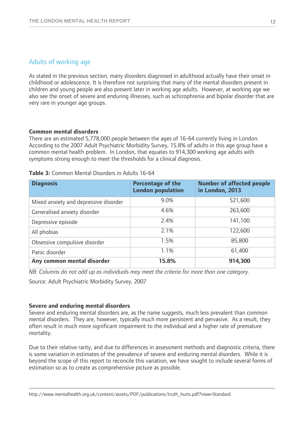### Adults of working age

As stated in the previous section, many disorders diagnosed in adulthood actually have their onset in childhood or adolescence. It is therefore not surprising that many of the mental disorders present in children and young people are also present later in working age adults. However, at working age we also see the onset of severe and enduring illnesses, such as schizophrenia and bipolar disorder that are very rare in younger age groups.

#### **Common mental disorders**

There are an estimated 5,778,000 people between the ages of 16-64 currently living in London. According to the 2007 Adult Psychiatric Morbidity Survey, 15.8% of adults in this age group have a common mental health problem. In London, that equates to 914,300 working age adults with symptoms strong enough to meet the thresholds for a clinical diagnosis.

| <b>Diagnosis</b>                      | <b>Percentage of the</b><br><b>London population</b> | <b>Number of affected people</b><br>in London, 2013 |
|---------------------------------------|------------------------------------------------------|-----------------------------------------------------|
| Mixed anxiety and depressive disorder | 9.0%                                                 | 521,600                                             |
| Generalised anxiety disorder          | 4.6%                                                 | 263,600                                             |
| Depressive episode                    | 2.4%                                                 | 141,100                                             |
| All phobias                           | 2.1%                                                 | 122,600                                             |
| Obsessive compulsive disorder         | 1.5%                                                 | 85,800                                              |
| Panic disorder                        | 1.1%                                                 | 61,400                                              |
| Any common mental disorder            | 15.8%                                                | 914,300                                             |

#### **Table 3:** Common Mental Disorders in Adults 16-64

*NB: Columns do not add up as individuals may meet the criteria for more than one category.* 

Source: Adult Psychiatric Morbidity Survey, 2007

#### **Severe and enduring mental disorders**

Severe and enduring mental disorders are, as the name suggests, much less prevalent than common mental disorders. They are, however, typically much more persistent and pervasive. As a result, they often result in much more significant impairment to the individual and a higher rate of premature mortality.

Due to their relative rarity, and due to differences in assessment methods and diagnostic criteria, there is some variation in estimates of the prevalence of severe and enduring mental disorders. While it is beyond the scope of this report to reconcile this variation, we have sought to include several forms of estimation so as to create as comprehensive picture as possible.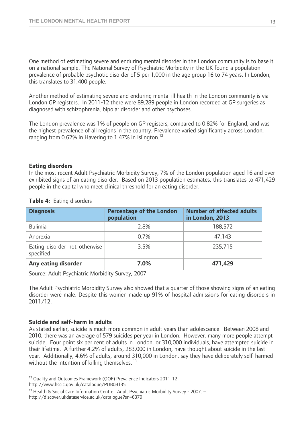One method of estimating severe and enduring mental disorder in the London community is to base it on a national sample. The National Survey of Psychiatric Morbidity in the UK found a population prevalence of probable psychotic disorder of 5 per 1,000 in the age group 16 to 74 years. In London, this translates to 31,400 people.

Another method of estimating severe and enduring mental ill health in the London community is via London GP registers. In 2011-12 there were 89,289 people in London recorded at GP surgeries as diagnosed with schizophrenia, bipolar disorder and other psychoses.

The London prevalence was 1% of people on GP registers, compared to 0.82% for England, and was the highest prevalence of all regions in the country. Prevalence varied significantly across London, ranging from 0.62% in Havering to 1.47% in Islington.<sup>12</sup>

#### **Eating disorders**

In the most recent Adult Psychiatric Morbidity Survey, 7% of the London population aged 16 and over exhibited signs of an eating disorder. Based on 2013 population estimates, this translates to 471,429 people in the capital who meet clinical threshold for an eating disorder.

| <b>Diagnosis</b>                           | <b>Percentage of the London</b><br>population | <b>Number of affected adults</b><br>in London, 2013 |
|--------------------------------------------|-----------------------------------------------|-----------------------------------------------------|
| <b>Bulimia</b>                             | 2.8%                                          | 188,572                                             |
| Anorexia                                   | 0.7%                                          | 47,143                                              |
| Eating disorder not otherwise<br>specified | 3.5%                                          | 235,715                                             |
| Any eating disorder                        | 7.0%                                          | 471,429                                             |

#### **Table 4:** Eating disorders

Source: Adult Psychiatric Morbidity Survey, 2007

The Adult Psychiatric Morbidity Survey also showed that a quarter of those showing signs of an eating disorder were male. Despite this women made up 91% of hospital admissions for eating disorders in 2011/12.

#### **Suicide and self-harm in adults**

As stated earlier, suicide is much more common in adult years than adolescence. Between 2008 and 2010, there was an average of 579 suicides per year in London. However, many more people attempt suicide. Four point six per cent of adults in London, or 310,000 individuals, have attempted suicide in their lifetime. A further 4.2% of adults, 283,000 in London, have thought about suicide in the last year. Additionally, 4.6% of adults, around 310,000 in London, say they have deliberately self-harmed without the intention of killing themselves.<sup>13</sup>

 $\overline{a}$ <sup>12</sup> Quality and Outcomes Framework (QOF) Prevalence Indicators 2011-12 -

http://www.hscic.gov.uk/catalogue/PUB08135<br><sup>13</sup> Health & Social Care Information Centre. Adult Psychiatric Morbidity Survey - 2007. – http://discover.ukdataservice.ac.uk/catalogue?sn=6379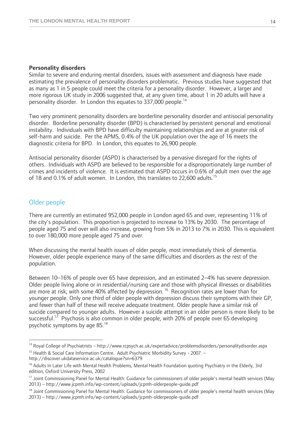#### **Personality disorders**

Similar to severe and enduring mental disorders, issues with assessment and diagnosis have made estimating the prevalence of personality disorders problematic. Previous studies have suggested that as many as 1 in 5 people could meet the criteria for a personality disorder. However, a larger and more rigorous UK study in 2006 suggested that, at any given time, about 1 in 20 adults will have a personality disorder. In London this equates to 337,000 people.<sup>14</sup>

Two very prominent personality disorders are borderline personality disorder and antisocial personality disorder. Borderline personality disorder (BPD) is characterised by persistent personal and emotional instability. Individuals with BPD have difficulty maintaining relationships and are at greater risk of self-harm and suicide. Per the APMS, 0.4% of the UK population over the age of 16 meets the diagnostic criteria for BPD. In London, this equates to 26,900 people.

Antisocial personality disorder (ASPD) is characterised by a pervasive disregard for the rights of others. Individuals with ASPD are believed to be responsible for a disproportionately large number of crimes and incidents of violence. It is estimated that ASPD occurs in 0.6% of adult men over the age of 18 and 0.1% of adult women. In London, this translates to 22,600 adults.<sup>15</sup>

#### Older people

 $\overline{a}$ 

There are currently an estimated 952,000 people in London aged 65 and over, representing 11% of the city's population. This proportion is projected to increase to 13% by 2030. The percentage of people aged 75 and over will also increase, growing from 5% in 2013 to 7% in 2030. This is equivalent to over 180,000 more people aged 75 and over.

When discussing the mental health issues of older people, most immediately think of dementia. However, older people experience many of the same difficulties and disorders as the rest of the population.

Between 10–16% of people over 65 have depression, and an estimated 2–4% has severe depression. Older people living alone or in residential/nursing care and those with physical illnesses or disabilities are more at risk, with some 40% affected by depression.<sup>16</sup> Recognition rates are lower than for younger people. Only one third of older people with depression discuss their symptoms with their GP, and fewer than half of these will receive adequate treatment. Older people have a similar risk of suicide compared to younger adults. However a suicide attempt in an older person is more likely to be successful.<sup>17</sup> Psychosis is also common in older people, with 20% of people over 65 developing psychotic symptoms by age 85.18

<sup>&</sup>lt;sup>14</sup> Royal College of Psychiatrists – http://www.rcpsych.ac.uk/expertadvice/problemsdisorders/personalitydisorder.aspx <sup>15</sup> Health & Social Care Information Centre. Adult Psychiatric Morbidity Survey - 2007. -

http://discover.ukdataservice.ac.uk/catalogue?sn=6379<br><sup>16</sup> Adults In Later Life with Mental Health Problems, Mental Health Foundation quoting Psychiatry in the Elderly, 3rd edition, Oxford University Press, 2002<br><sup>17</sup> Joint Commissioning Panel for Mental Health: Guidance for commissioners of older people's mental health services (May

<sup>2013) –</sup> http://www.jcpmh.info/wp-content/uploads/jcpmh-olderpeople-guide.pdf

<sup>&</sup>lt;sup>18</sup> Joint Commissioning Panel for Mental Health: Guidance for commissioners of older people's mental health services (May 2013) – http://www.jcpmh.info/wp-content/uploads/jcpmh-olderpeople-guide.pdf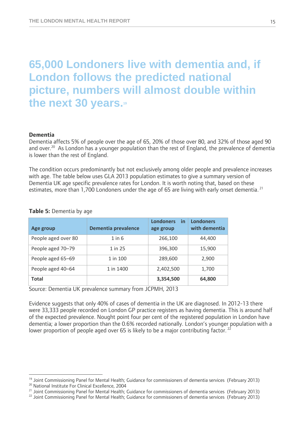# **65,000 Londoners live with dementia and, if London follows the predicted national picture, numbers will almost double within the next 30 years.19**

#### **Dementia**

Dementia affects 5% of people over the age of 65, 20% of those over 80, and 32% of those aged 90 and over.<sup>20</sup> As London has a younger population than the rest of England, the prevalence of dementia is lower than the rest of England.

The condition occurs predominantly but not exclusively among older people and prevalence increases with age. The table below uses GLA 2013 population estimates to give a summary version of Dementia UK age specific prevalence rates for London. It is worth noting that, based on these estimates, more than 1,700 Londoners under the age of 65 are living with early onset dementia.<sup>21</sup>

| Age group           | <b>Dementia prevalence</b> | <b>Londoners</b><br>in<br>age group | <b>Londoners</b><br>with dementia |
|---------------------|----------------------------|-------------------------------------|-----------------------------------|
| People aged over 80 | $1$ in $6$                 | 266,100                             | 44,400                            |
| People aged 70-79   | 1 in 25                    | 396,300                             | 15,900                            |
| People aged 65-69   | 1 in 100                   | 289,600                             | 2,900                             |
| People aged 40-64   | 1 in 1400                  | 2,402,500                           | 1,700                             |
| <b>Total</b>        |                            | 3,354,500                           | 64,800                            |

**Table 5:** Dementia by age

Source: Dementia UK prevalence summary from JCPMH, 2013

Evidence suggests that only 40% of cases of dementia in the UK are diagnosed. In 2012-13 there were 33,333 people recorded on London GP practice registers as having dementia. This is around half of the expected prevalence. Nought point four per cent of the registered population in London have dementia; a lower proportion than the 0.6% recorded nationally. London's younger population with a lower proportion of people aged over 65 is likely to be a major contributing factor.  $^{22}$ 

 $\overline{a}$ 

<sup>&</sup>lt;sup>19</sup> Joint Commissioning Panel for Mental Health; Guidance for commissioners of dementia services (February 2013)<br><sup>20</sup> National Institute For Clinical Excellence, 2004

<sup>&</sup>lt;sup>21</sup> Joint Commissioning Panel for Mental Health; Guidance for commissioners of dementia services (February 2013)  $^{22}$  Joint Commissioning Panel for Mental Health; Guidance for commissioners of dementia services (Februa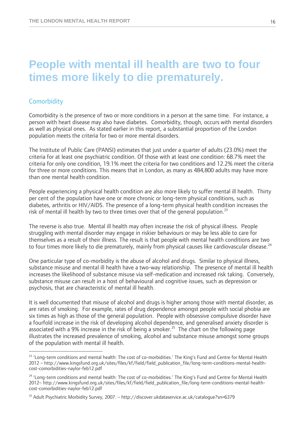## **People with mental ill health are two to four times more likely to die prematurely.**

### **Comorbidity**

 $\overline{a}$ 

Comorbidity is the presence of two or more conditions in a person at the same time. For instance, a person with heart disease may also have diabetes. Comorbidity, though, occurs with mental disorders as well as physical ones. As stated earlier in this report, a substantial proportion of the London population meets the criteria for two or more mental disorders.

The Institute of Public Care (PANSI) estimates that just under a quarter of adults (23.0%) meet the criteria for at least one psychiatric condition. Of those with at least one condition: 68.7% meet the criteria for only one condition, 19.1% meet the criteria for two conditions and 12.2% meet the criteria for three or more conditions. This means that in London, as many as 484,800 adults may have more than one mental health condition.

People experiencing a physical health condition are also more likely to suffer mental ill health. Thirty per cent of the population have one or more chronic or long-term physical conditions, such as diabetes, arthritis or HIV/AIDS. The presence of a long-term physical health condition increases the risk of mental ill health by two to three times over that of the general population.<sup>23</sup>

The reverse is also true. Mental ill health may often increase the risk of physical illness. People struggling with mental disorder may engage in riskier behaviours or may be less able to care for themselves as a result of their illness. The result is that people with mental health conditions are two to four times more likely to die prematurely, mainly from physical causes like cardiovascular disease.<sup>24</sup>

One particular type of co-morbidity is the abuse of alcohol and drugs. Similar to physical illness, substance misuse and mental ill health have a two-way relationship. The presence of mental ill health increases the likelihood of substance misuse via self-medication and increased risk taking. Conversely, substance misuse can result in a host of behavioural and cognitive issues, such as depression or psychosis, that are characteristic of mental ill health.

It is well documented that misuse of alcohol and drugs is higher among those with mental disorder, as are rates of smoking. For example, rates of drug dependence amongst people with social phobia are six times as high as those of the general population. People with obsessive compulsive disorder have a fourfold increase in the risk of developing alcohol dependence, and generalised anxiety disorder is associated with a 9% increase in the risk of being a smoker.<sup>25</sup> The chart on the following page illustrates the increased prevalence of smoking, alcohol and substance misuse amongst some groups of the population with mental ill health.

<sup>&</sup>lt;sup>23</sup> 'Long-term conditions and mental health: The cost of co-morbidities.' The King's Fund and Centre for Mental Health 2012 – http://www.kingsfund.org.uk/sites/files/kf/field/field\_publication\_file/long-term-conditions-mental-healthcost-comorbidities-naylor-feb12.pdf

<sup>&</sup>lt;sup>24</sup> 'Long-term conditions and mental health: The cost of co-morbidities.' The King's Fund and Centre for Mental Health 2012– http://www.kingsfund.org.uk/sites/files/kf/field/field\_publication\_file/long-term-conditions-mental-healthcost-comorbidities-naylor-feb12.pdf

<sup>25</sup> Adult Psychiatric Morbidity Survey, 2007. – http://discover.ukdataservice.ac.uk/catalogue?sn=6379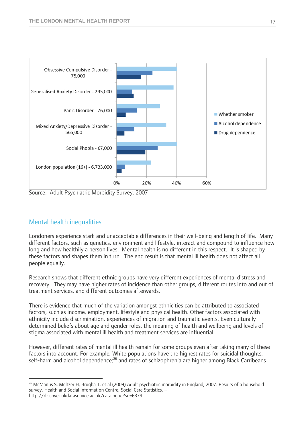

Source: Adult Psychiatric Morbidity Survey, 2007

### Mental health inequalities

Londoners experience stark and unacceptable differences in their well-being and length of life. Many different factors, such as genetics, environment and lifestyle, interact and compound to influence how long and how healthily a person lives. Mental health is no different in this respect. It is shaped by these factors and shapes them in turn. The end result is that mental ill health does not affect all people equally.

Research shows that different ethnic groups have very different experiences of mental distress and recovery. They may have higher rates of incidence than other groups, different routes into and out of treatment services, and different outcomes afterwards.

There is evidence that much of the variation amongst ethnicities can be attributed to associated factors, such as income, employment, lifestyle and physical health. Other factors associated with ethnicity include discrimination, experiences of migration and traumatic events. Even culturally determined beliefs about age and gender roles, the meaning of health and wellbeing and levels of stigma associated with mental ill health and treatment services are influential.

However, different rates of mental ill health remain for some groups even after taking many of these factors into account. For example, White populations have the highest rates for suicidal thoughts, self-harm and alcohol dependence;<sup>26</sup> and rates of schizophrenia are higher among Black Carribeans

 $\overline{a}$ <sup>26</sup> McManus S, Meltzer H, Brugha T, et al (2009) Adult psychiatric morbidity in England, 2007. Results of a household survey. Health and Social Information Centre, Social Care Statistics. – http://discover.ukdataservice.ac.uk/catalogue?sn=6379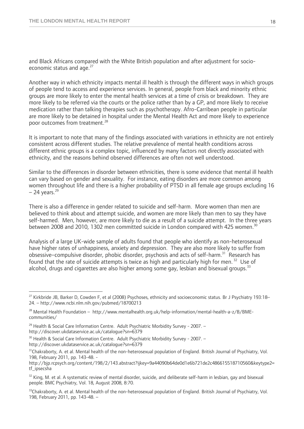and Black Africans compared with the White British population and after adjustment for socioeconomic status and age.<sup>27</sup>

Another way in which ethnicity impacts mental ill health is through the different ways in which groups of people tend to access and experience services. In general, people from black and minority ethnic groups are more likely to enter the mental health services at a time of crisis or breakdown. They are more likely to be referred via the courts or the police rather than by a GP, and more likely to receive medication rather than talking therapies such as psychotherapy. Afro-Carribean people in particular are more likely to be detained in hospital under the Mental Health Act and more likely to experience poor outcomes from treatment.<sup>28</sup>

It is important to note that many of the findings associated with variations in ethnicity are not entirely consistent across different studies. The relative prevalence of mental health conditions across different ethnic groups is a complex topic, influenced by many factors not directly associated with ethnicity, and the reasons behind observed differences are often not well understood.

Similar to the differences in disorder between ethnicities, there is some evidence that mental ill health can vary based on gender and sexuality. For instance, eating disorders are more common among women throughout life and there is a higher probability of PTSD in all female age groups excluding 16  $-$  24 years.<sup>29</sup>

There is also a difference in gender related to suicide and self-harm. More women than men are believed to think about and attempt suicide, and women are more likely than men to say they have self-harmed. Men, however, are more likely to die as a result of a suicide attempt. In the three years between 2008 and 2010, 1302 men committed suicide in London compared with 425 women.<sup>30</sup>

Analysis of a large UK-wide sample of adults found that people who identify as non-heterosexual have higher rates of unhappiness, anxiety and depression. They are also more likely to suffer from obsessive–compulsive disorder, phobic disorder, psychosis and acts of self-harm.<sup>31</sup> Research has found that the rate of suicide attempts is twice as high and particularly high for men.<sup>32</sup> Use of alcohol, drugs and cigarettes are also higher among some gay, lesbian and bisexual groups.<sup>33</sup>

 $\overline{a}$ 

<sup>&</sup>lt;sup>27</sup> Kirkbride JB, Barker D, Cowden F, et al (2008) Psychoses, ethnicity and socioeconomic status. Br J Psychiatry 193:18– 24. – http://www.ncbi.nlm.nih.gov/pubmed/18700213

<sup>&</sup>lt;sup>28</sup> Mental Health Foundation - http://www.mentalhealth.org.uk/help-information/mental-health-a-z/B/BMEcommunities/

 $29$  Health & Social Care Information Centre. Adult Psychiatric Morbidity Survey - 2007. –

http://discover.ukdataservice.ac.uk/catalogue?sn=6379<br><sup>30</sup> Health & Social Care Information Centre. Adult Psychiatric Morbidity Survey - 2007. –

http://discover.ukdataservice.ac.uk/catalogue?sn=6379<br><sup>31</sup>Chakraborty, A. et al. Mental health of the non-heterosexual population of England. British Journal of Psychiatry, Vol. 198, February 2011, pp. 143-48. -

http://bjp.rcpsych.org/content/198/2/143.abstract?ijkey=9a44090b64de0d1e6b721de2c486615518710560&keytype2= tf\_ipsecsha

 $32$  King, M. et al. A systematic review of mental disorder, suicide, and deliberate self-harm in lesbian, gay and bisexual people. BMC Psychiatry, Vol. 18, August 2008, 8:70.

 $33$ Chakraborty, A. et al. Mental health of the non-heterosexual population of England. British Journal of Psychiatry, Vol. 198, February 2011, pp. 143-48. –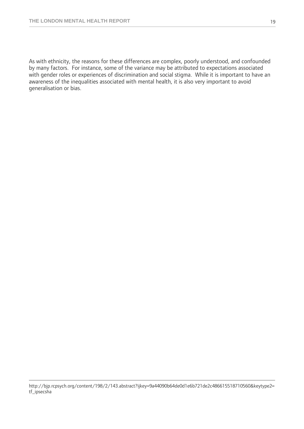As with ethnicity, the reasons for these differences are complex, poorly understood, and confounded by many factors. For instance, some of the variance may be attributed to expectations associated with gender roles or experiences of discrimination and social stigma. While it is important to have an awareness of the inequalities associated with mental health, it is also very important to avoid generalisation or bias.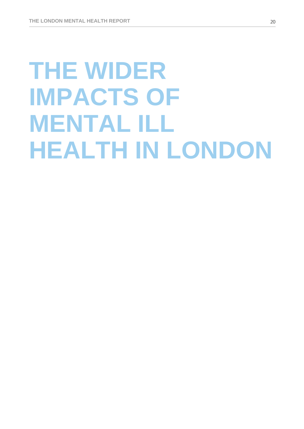# **THE WIDER IMPACTS OF MENTAL ILL HEALTH IN LONDON**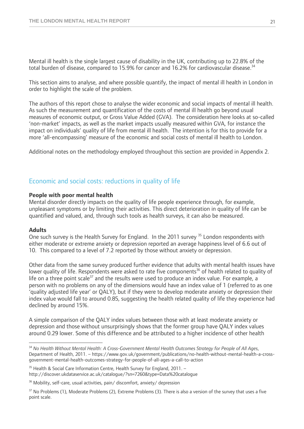Mental ill health is the single largest cause of disability in the UK, contributing up to 22.8% of the total burden of disease, compared to 15.9% for cancer and 16.2% for cardiovascular disease.<sup>34</sup>

This section aims to analyse, and where possible quantify, the impact of mental ill health in London in order to highlight the scale of the problem.

The authors of this report chose to analyse the wider economic and social impacts of mental ill health. As such the measurement and quantification of the costs of mental ill health go beyond usual measures of economic output, or Gross Value Added (GVA). The consideration here looks at so-called 'non-market' impacts, as well as the market impacts usually measured within GVA, for instance the impact on individuals' quality of life from mental ill health. The intention is for this to provide for a more 'all-encompassing' measure of the economic and social costs of mental ill health to London.

Additional notes on the methodology employed throughout this section are provided in Appendix 2.

#### Economic and social costs: reductions in quality of life

#### **People with poor mental health**

Mental disorder directly impacts on the quality of life people experience through, for example, unpleasant symptoms or by limiting their activities. This direct deterioration in quality of life can be quantified and valued, and, through such tools as health surveys, it can also be measured.

#### **Adults**

 $\overline{a}$ 

One such survey is the Health Survey for England. In the 2011 survey <sup>35</sup> London respondents with either moderate or extreme anxiety or depression reported an average happiness level of 6.6 out of 10. This compared to a level of 7.2 reported by those without anxiety or depression.

Other data from the same survey produced further evidence that adults with mental health issues have lower quality of life. Respondents were asked to rate five components<sup>36</sup> of health related to quality of life on a three point scale<sup>37</sup> and the results were used to produce an index value. For example, a person with no problems on any of the dimensions would have an index value of 1 (referred to as one 'quality adjusted life year' or QALY), but if they were to develop moderate anxiety or depression their index value would fall to around 0.85, suggesting the health related quality of life they experience had declined by around 15%.

A simple comparison of the QALY index values between those with at least moderate anxiety or depression and those without unsurprisingly shows that the former group have QALY index values around 0.29 lower. Some of this difference and be attributed to a higher incidence of other health

<sup>34</sup> *No Health Without Mental Health: A Cross-Government Mental Health Outcomes Strategy for People of All Ages*, Department of Health, 2011. – https://www.gov.uk/government/publications/no-health-without-mental-health-a-crossgovernment-mental-health-outcomes-strategy-for-people-of-all-ages-a-call-to-action

 $35$  Health & Social Care Information Centre, Health Survey for England, 2011. – http://discover.ukdataservice.ac.uk/catalogue/?sn=7260&type=Data%20catalogue

<sup>&</sup>lt;sup>36</sup> Mobility, self-care, usual activities, pain/ discomfort, anxiety/ depression

<sup>&</sup>lt;sup>37</sup> No Problems (1), Moderate Problems (2), Extreme Problems (3). There is also a version of the survey that uses a five point scale.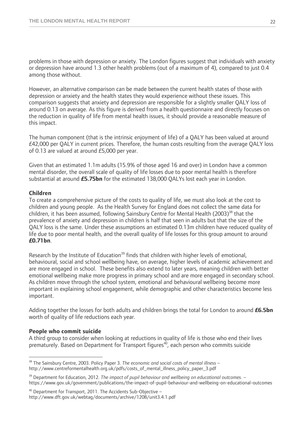problems in those with depression or anxiety. The London figures suggest that individuals with anxiety or depression have around 1.3 other health problems (out of a maximum of 4), compared to just 0.4 among those without.

However, an alternative comparison can be made between the current health states of those with depression or anxiety and the health states they would experience without these issues. This comparison suggests that anxiety and depression are responsible for a slightly smaller QALY loss of around 0.13 on average. As this figure is derived from a health questionnaire and directly focuses on the reduction in quality of life from mental health issues, it should provide a reasonable measure of this impact.

The human component (that is the intrinsic enjoyment of life) of a QALY has been valued at around  $E$ 42,000 per QALY in current prices. Therefore, the human costs resulting from the average QALY loss of 0.13 are valued at around £5,000 per year.

Given that an estimated 1.1m adults (15.9% of those aged 16 and over) in London have a common mental disorder, the overall scale of quality of life losses due to poor mental health is therefore substantial at around **£5.75bn** for the estimated 138,000 QALYs lost each year in London.

#### **Children**

To create a comprehensive picture of the costs to quality of life, we must also look at the cost to children and young people. As the Health Survey for England does not collect the same data for children, it has been assumed, following Sainsbury Centre for Mental Health (2003)<sup>38</sup> that the prevalence of anxiety and depression in children is half that seen in adults but that the size of the QALY loss is the same. Under these assumptions an estimated 0.13m children have reduced quality of life due to poor mental health, and the overall quality of life losses for this group amount to around **£0.71bn**.

Research by the Institute of Education<sup>39</sup> finds that children with higher levels of emotional, behavioural, social and school wellbeing have, on average, higher levels of academic achievement and are more engaged in school. These benefits also extend to later years, meaning children with better emotional wellbeing make more progress in primary school and are more engaged in secondary school. As children move through the school system, emotional and behavioural wellbeing become more important in explaining school engagement, while demographic and other characteristics become less important.

Adding together the losses for both adults and children brings the total for London to around **£6.5bn**  worth of quality of life reductions each year.

#### **People who commit suicide**

 $\overline{a}$ 

A third group to consider when looking at reductions in quality of life is those who end their lives prematurely. Based on Department for Transport figures<sup>40</sup>, each person who commits suicide

<sup>38</sup> The Sainsbury Centre, 2003. Policy Paper 3. *The economic and social costs of mental illness* – http://www.centreformentalhealth.org.uk/pdfs/costs\_of\_mental\_illness\_policy\_paper\_3.pdf

<sup>39</sup> Department for Education, 2012. *The impact of pupil behaviour and wellbeing on educational outcomes*. – https://www.gov.uk/government/publications/the-impact-of-pupil-behaviour-and-wellbeing-on-educational-outcomes

<sup>40</sup> Department for Transport, 2011. The Accidents Sub-Objective – http://www.dft.gov.uk/webtag/documents/archive/1208/unit3.4.1.pdf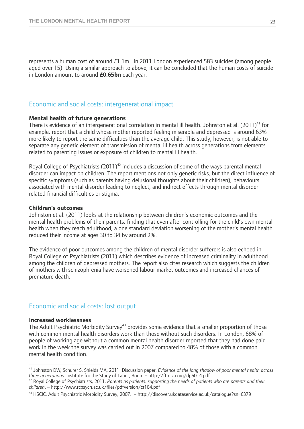represents a human cost of around £1.1m. In 2011 London experienced 583 suicides (among people aged over 15). Using a similar approach to above, it can be concluded that the human costs of suicide in London amount to around **£0.65bn** each year.

#### Economic and social costs: intergenerational impact

#### **Mental health of future generations**

There is evidence of an intergenerational correlation in mental ill health. Johnston et al. (2011)<sup>41</sup> for example, report that a child whose mother reported feeling miserable and depressed is around 63% more likely to report the same difficulties than the average child. This study, however, is not able to separate any genetic element of transmission of mental ill health across generations from elements related to parenting issues or exposure of children to mental ill health.

Royal College of Psychiatrists  $(2011)^{42}$  includes a discussion of some of the ways parental mental disorder can impact on children. The report mentions not only genetic risks, but the direct influence of specific symptoms (such as parents having delusional thoughts about their children), behaviours associated with mental disorder leading to neglect, and indirect effects through mental disorderrelated financial difficulties or stigma.

#### **Children's outcomes**

Johnston et al. (2011) looks at the relationship between children's economic outcomes and the mental health problems of their parents, finding that even after controlling for the child's own mental health when they reach adulthood, a one standard deviation worsening of the mother's mental health reduced their income at ages 30 to 34 by around 2%.

The evidence of poor outcomes among the children of mental disorder sufferers is also echoed in Royal College of Psychiatrists (2011) which describes evidence of increased criminality in adulthood among the children of depressed mothers. The report also cites research which suggests the children of mothers with schizophrenia have worsened labour market outcomes and increased chances of premature death.

#### Economic and social costs: lost output

#### **Increased worklessness**

 $\overline{a}$ 

The Adult Psychiatric Morbidity Survey<sup>43</sup> provides some evidence that a smaller proportion of those with common mental health disorders work than those without such disorders. In London, 68% of people of working age without a common mental health disorder reported that they had done paid work in the week the survey was carried out in 2007 compared to 48% of those with a common mental health condition.

<sup>41</sup> Johnston DW, Schurer S, Shields MA, 2011. Discussion paper. *Evidence of the long shadow of poor mental health across*  three generations. Institute for the Study of Labor, Bonn. – http://ftp.iza.org/dp6014.pdf<br><sup>42</sup> Royal College of Psychiatrists, 2011. Parents as patients: supporting the needs of patients who are parents and their

*children*. – http://www.rcpsych.ac.uk/files/pdfversion/cr164.pdf

<sup>43</sup> HSCIC. Adult Psychiatric Morbidity Survey, 2007. – http://discover.ukdataservice.ac.uk/catalogue?sn=6379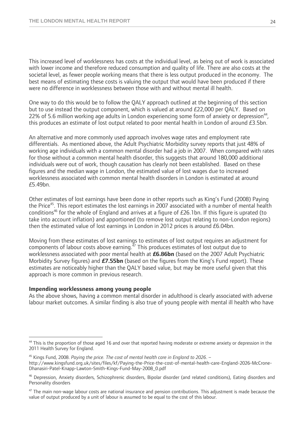This increased level of worklessness has costs at the individual level, as being out of work is associated with lower income and therefore reduced consumption and quality of life. There are also costs at the societal level, as fewer people working means that there is less output produced in the economy. The best means of estimating these costs is valuing the output that would have been produced if there were no difference in worklessness between those with and without mental ill health.

One way to do this would be to follow the QALY approach outlined at the beginning of this section but to use instead the output component, which is valued at around £22,000 per QALY. Based on 22% of 5.6 million working age adults in London experiencing some form of anxiety or depression<sup>44</sup>, this produces an estimate of lost output related to poor mental health in London of around  $E3.5$ bn.

An alternative and more commonly used approach involves wage rates and employment rate differentials. As mentioned above, the Adult Psychiatric Morbidity survey reports that just 48% of working age individuals with a common mental disorder had a job in 2007. When compared with rates for those without a common mental health disorder, this suggests that around 180,000 additional individuals were out of work, though causation has clearly not been established. Based on these figures and the median wage in London, the estimated value of lost wages due to increased worklessness associated with common mental health disorders in London is estimated at around £5.49bn.

Other estimates of lost earnings have been done in other reports such as King's Fund (2008) Paying the Price45. This report estimates the lost earnings in 2007 associated with a number of mental health conditions<sup>46</sup> for the whole of England and arrives at a figure of  $E26.1$ bn. If this figure is uprated (to take into account inflation) and apportioned (to remove lost output relating to non-London regions) then the estimated value of lost earnings in London in 2012 prices is around £6.04bn.

Moving from these estimates of lost earnings to estimates of lost output requires an adjustment for components of labour costs above earning.47 This produces estimates of lost output due to worklessness associated with poor mental health at **£6.86bn** (based on the 2007 Adult Psychiatric Morbidity Survey figures) and **£7.55bn** (based on the figures from the King's Fund report). These estimates are noticeably higher than the QALY based value, but may be more useful given that this approach is more common in previous research.

#### **Impending worklessness among young people**

 $\overline{a}$ 

As the above shows, having a common mental disorder in adulthood is clearly associated with adverse labour market outcomes. A similar finding is also true of young people with mental ill health who have

<sup>&</sup>lt;sup>44</sup> This is the proportion of those aged 16 and over that reported having moderate or extreme anxiety or depression in the 2011 Health Survey for England.

<sup>45</sup> Kings Fund, 2008. *Paying the price. The cost of mental health care in England to 2026*. – http://www.kingsfund.org.uk/sites/files/kf/Paying-the-Price-the-cost-of-mental-health-care-England-2026-McCrone-Dhanasiri-Patel-Knapp-Lawton-Smith-Kings-Fund-May-2008\_0.pdf

<sup>46</sup> Depression, Anxiety disorders, Schizophrenic disorders, Bipolar disorder (and related conditions), Eating disorders and Personality disorders

 $47$  The main non-wage labour costs are national insurance and pension contributions. This adjustment is made because the value of output produced by a unit of labour is assumed to be equal to the cost of this labour.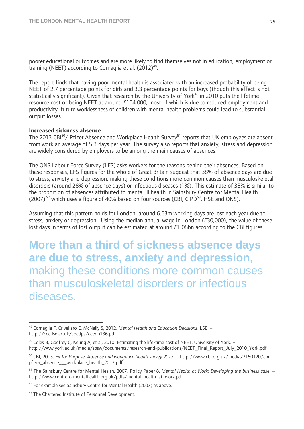poorer educational outcomes and are more likely to find themselves not in education, employment or training (NEET) according to Cornaglia et al.  $(2012)^{48}$ .

The report finds that having poor mental health is associated with an increased probability of being NEET of 2.7 percentage points for girls and 3.3 percentage points for boys (though this effect is not statistically significant). Given that research by the University of York<sup>49</sup> in 2010 puts the lifetime resource cost of being NEET at around £104,000, most of which is due to reduced employment and productivity, future worklessness of children with mental health problems could lead to substantial output losses.

#### **Increased sickness absence**

The 2013 CBI<sup>50</sup>/ Pfizer Absence and Workplace Health Survey<sup>51</sup> reports that UK employees are absent from work an average of 5.3 days per year. The survey also reports that anxiety, stress and depression are widely considered by employers to be among the main causes of absences.

The ONS Labour Force Survey (LFS) asks workers for the reasons behind their absences. Based on these responses, LFS figures for the whole of Great Britain suggest that 38% of absence days are due to stress, anxiety and depression, making these conditions more common causes than musculoskeletal disorders (around 28% of absence days) or infectious diseases (1%). This estimate of 38% is similar to the proportion of absences attributed to mental ill health in Sainsbury Centre for Mental Health (2007)<sup>52</sup> which uses a figure of 40% based on four sources (CBI, CIPD<sup>53</sup>, HSE and ONS).

Assuming that this pattern holds for London, around 6.63m working days are lost each year due to stress, anxiety or depression. Using the median annual wage in London (£30,000), the value of these lost days in terms of lost output can be estimated at around £1.08bn according to the CBI figures.

**More than a third of sickness absence days are due to stress, anxiety and depression,**  making these conditions more common causes than musculoskeletal disorders or infectious diseases.

 $\overline{a}$ 

<sup>48</sup> Cornaglia F, Crivellaro E, McNally S, 2012. *Mental Health and Education Decisions*. LSE. – http://cee.lse.ac.uk/ceedps/ceedp136.pdf

<sup>&</sup>lt;sup>49</sup> Coles B, Godfrey C, Keung A, et al, 2010. Estimating the life-time cost of NEET. University of York. http://www.york.ac.uk/media/spsw/documents/research-and-publications/NEET\_Final\_Report\_July\_2010\_York.pdf

<sup>50</sup> CBI, 2013. *Fit for Purpose. Absence and workplace health survey 2013.* – http://www.cbi.org.uk/media/2150120/cbipfizer\_absence\_\_\_workplace\_health\_2013.pdf

<sup>51</sup> The Sainsbury Centre for Mental Health, 2007. Policy Paper 8. *Mental Health at Work: Developing the business case*. – http://www.centreformentalhealth.org.uk/pdfs/mental\_health\_at\_work.pdf

<sup>&</sup>lt;sup>52</sup> For example see Sainsbury Centre for Mental Health (2007) as above.

<sup>&</sup>lt;sup>53</sup> The Chartered Institute of Personnel Development.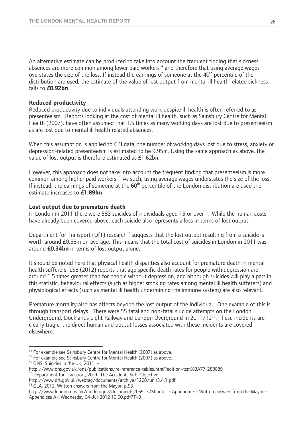An alternative estimate can be produced to take into account the frequent finding that sickness absences are more common among lower paid workers<sup>54</sup> and therefore that using average wages overstates the size of the loss. If instead the earnings of someone at the  $40<sup>th</sup>$  percentile of the distribution are used, the estimate of the value of lost output from mental ill health related sickness falls to **£0.92bn**.

#### **Reduced productivity**

Reduced productivity due to individuals attending work despite ill health is often referred to as presenteeism. Reports looking at the cost of mental ill health, such as Sainsbury Centre for Mental Health (2007), have often assumed that 1.5 times as many working days are lost due to presenteeism as are lost due to mental ill health related absences.

When this assumption is applied to CBI data, the number of working days lost due to stress, anxiety or depression-related presenteeism is estimated to be 9.95m. Using the same approach as above, the value of lost output is therefore estimated as £1.62bn.

However, this approach does not take into account the frequent finding that presenteeism is more common among higher paid workers.<sup>55</sup> As such, using average wages understates the size of the loss. If instead, the earnings of someone at the  $60<sup>th</sup>$  percentile of the London distribution are used the estimate increases to **£1.89bn**.

#### **Lost output due to premature death**

In London in 2011 there were 583 suicides of individuals aged 15 or over<sup>56</sup>. While the human costs have already been covered above, each suicide also represents a loss in terms of lost output.

Department for Transport (DfT) research<sup>57</sup> suggests that the lost output resulting from a suicide is worth around £0.58m on average. This means that the total cost of suicides in London in 2011 was around **£0.34bn** in terms of lost output alone.

It should be noted here that physical health disparities also account for premature death in mental health sufferers. LSE (2012) reports that age specific death rates for people with depression are around 1.5 times greater than for people without depression, and although suicides will play a part in this statistic, behavioural effects (such as higher smoking rates among mental ill health sufferers) and physiological effects (such as mental ill health undermining the immune system) are also relevant.

Premature mortality also has affects beyond the lost output of the individual. One example of this is through transport delays. There were 55 fatal and non-fatal suicide attempts on the London Underground, Docklands Light Railway and London Overground in 2011/1258. These incidents are clearly tragic: the direct human and output losses associated with these incidents are covered elsewhere.

 $\overline{a}$ <sup>54</sup> For example see Sainsbury Centre for Mental Health (2007) as above.<br><sup>55</sup> For example see Sainsbury Centre for Mental Health (2007) as above.<br><sup>56</sup> ONS. Suicides in the UK, 2011. –

http://www.ons.gov.uk/ons/publications/re-reference-tables.html?edition=tcm%3A77-288089<br><sup>57</sup> Department for Transport, 2011. The Accidents Sub-Objective. –

http://www.dft.gov.uk/webtag/documents/archive/1208/unit3.4.1.pdf<br><sup>58</sup> GLA, 2012. Written answers from the Mayor. p.93. –

http://www.london.gov.uk/moderngov/documents/b6917/Minutes - Appendix 3 - Written answers from the Mayor - Appendices A-I Wednesday 04-Jul-2012 10.00.pdf?T=9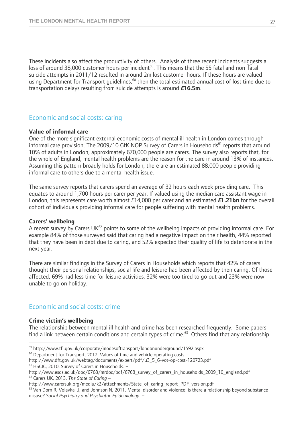These incidents also affect the productivity of others. Analysis of three recent incidents suggests a loss of around 38,000 customer hours per incident<sup>59</sup>. This means that the 55 fatal and non-fatal suicide attempts in 2011/12 resulted in around 2m lost customer hours. If these hours are valued using Department for Transport guidelines,<sup>60</sup> then the total estimated annual cost of lost time due to transportation delays resulting from suicide attempts is around **£16.5m**.

### Economic and social costs: caring

#### **Value of informal care**

One of the more significant external economic costs of mental ill health in London comes through informal care provision. The 2009/10 GfK NOP Survey of Carers in Households<sup>61</sup> reports that around 10% of adults in London, approximately 670,000 people are carers. The survey also reports that, for the whole of England, mental health problems are the reason for the care in around 13% of instances. Assuming this pattern broadly holds for London, there are an estimated 88,000 people providing informal care to others due to a mental health issue.

The same survey reports that carers spend an average of 32 hours each week providing care. This equates to around 1,700 hours per carer per year. If valued using the median care assistant wage in London, this represents care worth almost £14,000 per carer and an estimated **£1.21bn** for the overall cohort of individuals providing informal care for people suffering with mental health problems.

#### **Carers' wellbeing**

A recent survey by Carers UK $^{62}$  points to some of the wellbeing impacts of providing informal care. For example 84% of those surveyed said that caring had a negative impact on their health, 44% reported that they have been in debt due to caring, and 52% expected their quality of life to deteriorate in the next year.

There are similar findings in the Survey of Carers in Households which reports that 42% of carers thought their personal relationships, social life and leisure had been affected by their caring. Of those affected, 69% had less time for leisure activities, 32% were too tired to go out and 23% were now unable to go on holiday.

#### Economic and social costs: crime

#### **Crime victim's wellbeing**

 $\overline{a}$ 

The relationship between mental ill health and crime has been researched frequently. Some papers find a link between certain conditions and certain types of crime.<sup>63</sup> Others find that any relationship

 $^{59}$  http://www.tfl.gov.uk/corporate/modesoftransport/londonunderground/1592.aspx 60 Department for Transport, 2012. Values of time and vehicle operating costs. –

http://www.dft.gov.uk/webtag/documents/expert/pdf/u3\_5\_6-vot-op-cost-120723.pdf 61 HSCIC, 2010. Survey of Carers in Households. –

http://www.esds.ac.uk/doc/6768/mrdoc/pdf/6768\_survey\_of\_carers\_in\_households\_2009\_10\_england.pdf <sup>62</sup> Carers UK, 2013. *The State of Caring –* http://www.carersuk.org/media/k2/attachments/State of caring report PDF version

 $63$  Van Dorn R, Volavka J, and Johnson N, 2011. Mental disorder and violence: is there a relationship beyond substance misuse? *Social Psychiatry and Psychiatric Epidemiology*. –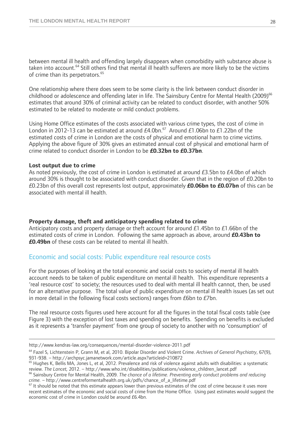between mental ill health and offending largely disappears when comorbidity with substance abuse is taken into account.<sup>64</sup> Still others find that mental ill health sufferers are more likely to be the victims of crime than its perpetrators.<sup>65</sup>

One relationship where there does seem to be some clarity is the link between conduct disorder in childhood or adolescence and offending later in life. The Sainsbury Centre for Mental Health (2009)<sup>66</sup> estimates that around 30% of criminal activity can be related to conduct disorder, with another 50% estimated to be related to moderate or mild conduct problems.

Using Home Office estimates of the costs associated with various crime types, the cost of crime in London in 2012-13 can be estimated at around  $E4.0$ bn.<sup>67</sup> Around  $E1.06$ bn to  $E1.22$ bn of the estimated costs of crime in London are the costs of physical and emotional harm to crime victims. Applying the above figure of 30% gives an estimated annual cost of physical and emotional harm of crime related to conduct disorder in London to be **£0.32bn to £0.37bn**.

#### **Lost output due to crime**

As noted previously, the cost of crime in London is estimated at around £3.5bn to £4.0bn of which around 30% is thought to be associated with conduct disorder. Given that in the region of £0.20bn to £0.23bn of this overall cost represents lost output, approximately **£0.06bn to £0.07bn** of this can be associated with mental ill health.

#### **Property damage, theft and anticipatory spending related to crime**

Anticipatory costs and property damage or theft account for around £1.45bn to £1.66bn of the estimated costs of crime in London. Following the same approach as above, around **£0.43bn to £0.49bn** of these costs can be related to mental ill health.

#### Economic and social costs: Public expenditure real resource costs

For the purposes of looking at the total economic and social costs to society of mental ill health account needs to be taken of public expenditure on mental ill health. This expenditure represents a 'real resource cost' to society; the resources used to deal with mental ill health cannot, then, be used for an alternative purpose. The total value of public expenditure on mental ill health issues (as set out in more detail in the following fiscal costs sections) ranges from £6bn to £7bn.

The real resource costs figures used here account for all the figures in the total fiscal costs table (see Figure 3) with the exception of lost taxes and spending on benefits. Spending on benefits is excluded as it represents a 'transfer payment' from one group of society to another with no 'consumption' of

http://www.kendras-law.org/consequences/mental-disorder-violence-2011.pdf

<sup>64</sup> Fazel S, Lichtenstein P, Grann M, et al, 2010. Bipolar Disorder and Violent Crime. *Archives of General Psychiatry*, 67(9), 931-938. – http://archpsyc.jamanetwork.com/article.aspx?articleid=210872<br><sup>65</sup> Hughes K, Bellis MA, Jones L, et al, 2012. Prevalence and risk of violence against adults with disabilities: a systematic

review. The Lancet, 2012. – http://www.who.int/disabilities/publications/violence\_children\_lancet.pdf<br><sup>66</sup> Sainsbury Centre for Mental Health, 2009. The chance of a lifetime. Preventing early conduct problems and reducing

*crime.* – http://www.centreformentalhealth.org.uk/pdfs/chance\_of\_a\_lifetime.pdf<br><sup>67</sup> It should be noted that this estimate appears lower than previous estimates of the cost of crime because it uses more recent estimates of the economic and social costs of crime from the Home Office. Using past estimates would suggest the economic cost of crime in London could be around £6.4bn.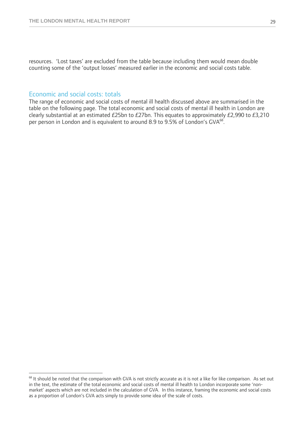resources. 'Lost taxes' are excluded from the table because including them would mean double counting some of the 'output losses' measured earlier in the economic and social costs table.

#### Economic and social costs: totals

 $\overline{a}$ 

The range of economic and social costs of mental ill health discussed above are summarised in the table on the following page. The total economic and social costs of mental ill health in London are clearly substantial at an estimated £25bn to £27bn. This equates to approximately £2,990 to £3,210 per person in London and is equivalent to around 8.9 to 9.5% of London's GVA<sup>68</sup>.

<sup>&</sup>lt;sup>68</sup> It should be noted that the comparison with GVA is not strictly accurate as it is not a like for like comparison. As set out in the text, the estimate of the total economic and social costs of mental ill health to London incorporate some 'nonmarket' aspects which are not included in the calculation of GVA. In this instance, framing the economic and social costs as a proportion of London's GVA acts simply to provide some idea of the scale of costs.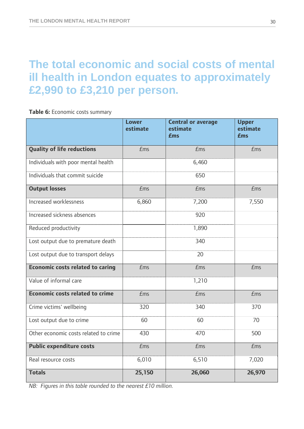## **The total economic and social costs of mental ill health in London equates to approximately £2,990 to £3,210 per person.**

**Table 6:** Economic costs summary

|                                       | <b>Lower</b><br>estimate | <b>Central or average</b><br>estimate<br><b>£ms</b> | <b>Upper</b><br>estimate<br><b>£ms</b> |
|---------------------------------------|--------------------------|-----------------------------------------------------|----------------------------------------|
| <b>Quality of life reductions</b>     | $E$ ms                   | Ems                                                 | $E$ ms                                 |
| Individuals with poor mental health   |                          | 6,460                                               |                                        |
| Individuals that commit suicide       |                          | 650                                                 |                                        |
| <b>Output losses</b>                  | $E$ ms                   | <b>£ms</b>                                          | $E$ ms                                 |
| Increased worklessness                | 6,860                    | 7,200                                               | 7,550                                  |
| Increased sickness absences           |                          | 920                                                 |                                        |
| Reduced productivity                  |                          | 1,890                                               |                                        |
| Lost output due to premature death    |                          | 340                                                 |                                        |
| Lost output due to transport delays   |                          | 20                                                  |                                        |
| Economic costs related to caring      | $E$ ms                   | <b>£ms</b>                                          | $E$ ms                                 |
| Value of informal care                |                          | 1,210                                               |                                        |
| Economic costs related to crime       | $E$ ms                   | <b>£ms</b>                                          | $E$ ms                                 |
| Crime victims' wellbeing              | 320                      | 340                                                 | 370                                    |
| Lost output due to crime              | 60                       | 60                                                  | 70                                     |
| Other economic costs related to crime | 430                      | 470                                                 | 500                                    |
| <b>Public expenditure costs</b>       | $E$ ms                   | <b>£ms</b>                                          | $E$ ms                                 |
| Real resource costs                   | 6,010                    | 6,510                                               | 7,020                                  |
| <b>Totals</b>                         | 25,150                   | 26,060                                              | 26,970                                 |

*NB: Figures in this table rounded to the nearest £10 million.*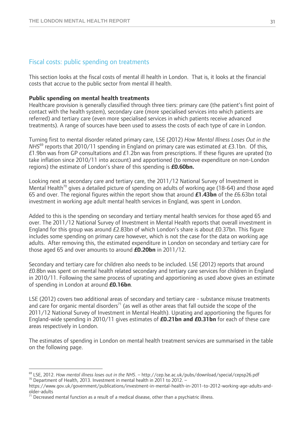#### Fiscal costs: public spending on treatments

This section looks at the fiscal costs of mental ill health in London. That is, it looks at the financial costs that accrue to the public sector from mental ill health.

#### **Public spending on mental health treatments**

Healthcare provision is generally classified through three tiers: primary care (the patient's first point of contact with the health system), secondary care (more specialised services into which patients are referred) and tertiary care (even more specialised services in which patients receive advanced treatments). A range of sources have been used to assess the costs of each type of care in London.

Turning first to mental disorder related primary care, LSE (2012) *How Mental Illness Loses Out in the NHS*<sup>69</sup> reports that 2010/11 spending in England on primary care was estimated at £3.1bn. Of this, £1.9bn was from GP consultations and £1.2bn was from prescriptions. If these figures are uprated (to take inflation since 2010/11 into account) and apportioned (to remove expenditure on non-London regions) the estimate of London's share of this spending is **£0.60bn.**

Looking next at secondary care and tertiary care, the 2011/12 National Survey of Investment in Mental Health<sup>70</sup> gives a detailed picture of spending on adults of working age (18-64) and those aged 65 and over. The regional figures within the report show that around **£1.43bn** of the £6.63bn total investment in working age adult mental health services in England, was spent in London.

Added to this is the spending on secondary and tertiary mental health services for those aged 65 and over. The 2011/12 National Survey of Investment in Mental Health reports that overall investment in England for this group was around £2.83bn of which London's share is about £0.37bn. This figure includes some spending on primary care however, which is not the case for the data on working age adults. After removing this, the estimated expenditure in London on secondary and tertiary care for those aged 65 and over amounts to around **£0.20bn** in 2011/12.

Secondary and tertiary care for children also needs to be included. LSE (2012) reports that around £0.8bn was spent on mental health related secondary and tertiary care services for children in England in 2010/11. Following the same process of uprating and apportioning as used above gives an estimate of spending in London at around **£0.16bn**.

LSE (2012) covers two additional areas of secondary and tertiary care - substance misuse treatments and care for organic mental disorders<sup>71</sup> (as well as other areas that fall outside the scope of the 2011/12 National Survey of Investment in Mental Health). Uprating and apportioning the figures for England-wide spending in 2010/11 gives estimates of **£0.21bn and £0.31bn** for each of these care areas respectively in London.

The estimates of spending in London on mental health treatment services are summarised in the table on the following page.

 $\overline{a}$ 

<sup>&</sup>lt;sup>69</sup> LSE, 2012. *How mental illness loses out in the NHS*. – http://cep.lse.ac.uk/pubs/download/special/cepsp26.pdf<br><sup>70</sup> Department of Health, 2013. Investment in mental health in 2011 to 2012. –

https://www.gov.uk/government/publications/investment-in-mental-health-in-2011-to-2012-working-age-adults-andolder-adults

 $71$  Decreased mental function as a result of a medical disease, other than a psychiatric illness.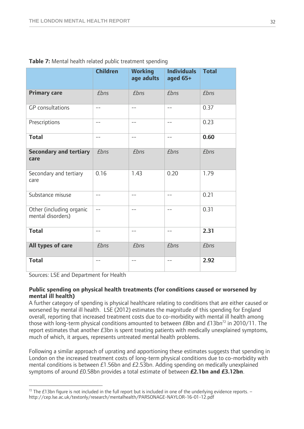|                                               | <b>Children</b> | <b>Working</b><br>age adults | <b>Individuals</b><br>aged 65+ | <b>Total</b> |
|-----------------------------------------------|-----------------|------------------------------|--------------------------------|--------------|
| <b>Primary care</b>                           | <b>£bns</b>     | <b>£bns</b>                  | <b>£bns</b>                    | <b>£bns</b>  |
| <b>GP</b> consultations                       | $-$             | $-$                          | $\frac{1}{2}$                  | 0.37         |
| Prescriptions                                 | --              | --                           | $-$                            | 0.23         |
| <b>Total</b>                                  | $-$             | $-$                          | $\qquad \qquad -$              | 0.60         |
| <b>Secondary and tertiary</b><br>care         | <b>£bns</b>     | <b>£bns</b>                  | <b>£bns</b>                    | <b>£bns</b>  |
| Secondary and tertiary<br>care                | 0.16            | 1.43                         | 0.20                           | 1.79         |
| Substance misuse                              | $-$             | $-$                          | $-$                            | 0.21         |
| Other (including organic<br>mental disorders) | $-$             | $\qquad \qquad -$            | $ -$                           | 0.31         |
| <b>Total</b>                                  | $-$             | $\qquad \qquad -$            | $-$                            | 2.31         |
| All types of care                             | <b>£bns</b>     | <b>£bns</b>                  | <b>£bns</b>                    | <b>£bns</b>  |
| <b>Total</b>                                  | --              | $- -$                        | $- -$                          | 2.92         |

|  |  |  | Table 7: Mental health related public treatment spending |
|--|--|--|----------------------------------------------------------|
|  |  |  |                                                          |

Sources: LSE and Department for Health

 $\overline{a}$ 

#### **Public spending on physical health treatments (for conditions caused or worsened by mental ill health)**

A further category of spending is physical healthcare relating to conditions that are either caused or worsened by mental ill health. LSE (2012) estimates the magnitude of this spending for England overall, reporting that increased treatment costs due to co-morbidity with mental ill health among those with long-term physical conditions amounted to between  $E8$ bn and  $E13$ bn<sup>72</sup> in 2010/11. The report estimates that another £3bn is spent treating patients with medically unexplained symptoms, much of which, it argues, represents untreated mental health problems.

Following a similar approach of uprating and apportioning these estimates suggests that spending in London on the increased treatment costs of long-term physical conditions due to co-morbidity with mental conditions is between £1.56bn and £2.53bn. Adding spending on medically unexplained symptoms of around £0.58bn provides a total estimate of between **£2.1bn and £3.12bn**.

 $72$  The £13bn figure is not included in the full report but is included in one of the underlying evidence reports.  $$ http://cep.lse.ac.uk/textonly/research/mentalhealth/PARSONAGE-NAYLOR-16-01-12.pdf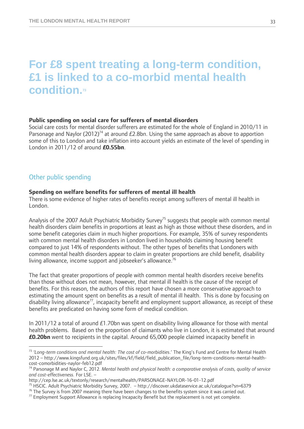## **For £8 spent treating a long-term condition, £1 is linked to a co-morbid mental health condition.73**

#### **Public spending on social care for sufferers of mental disorders**

Social care costs for mental disorder sufferers are estimated for the whole of England in 2010/11 in Parsonage and Naylor (2012)<sup>74</sup> at around £2.8bn. Using the same approach as above to apportion some of this to London and take inflation into account yields an estimate of the level of spending in London in 2011/12 of around **£0.55bn**.

#### Other public spending

#### **Spending on welfare benefits for sufferers of mental ill health**

There is some evidence of higher rates of benefits receipt among sufferers of mental ill health in London.

Analysis of the 2007 Adult Psychiatric Morbidity Survey<sup>75</sup> suggests that people with common mental health disorders claim benefits in proportions at least as high as those without these disorders, and in some benefit categories claim in much higher proportions. For example, 35% of survey respondents with common mental health disorders in London lived in households claiming housing benefit compared to just 14% of respondents without. The other types of benefits that Londoners with common mental health disorders appear to claim in greater proportions are child benefit, disability living allowance, income support and jobseeker's allowance.<sup>76</sup>

The fact that greater proportions of people with common mental health disorders receive benefits than those without does not mean, however, that mental ill health is the cause of the receipt of benefits. For this reason, the authors of this report have chosen a more conservative approach to estimating the amount spent on benefits as a result of mental ill health. This is done by focusing on disability living allowance<sup>77</sup>, incapacity benefit and employment support allowance, as receipt of these benefits are predicated on having some form of medical condition.

In 2011/12 a total of around £1.70bn was spent on disability living allowance for those with mental health problems. Based on the proportion of claimants who live in London, it is estimated that around **£0.20bn** went to recipients in the capital. Around 65,000 people claimed incapacity benefit in

 $\overline{a}$ <sup>73</sup> *'Long-term conditions and mental health: The cost of co-morbidities*.' The King's Fund and Centre for Mental Health 2012 – http://www.kingsfund.org.uk/sites/files/kf/field/field\_publication\_file/long-term-conditions-mental-healthcost-comorbidities-naylor-feb12.pdf

<sup>74</sup> Parsonage M and Naylor C, 2012. *Mental health and physical health: a comparative analysis of costs, quality of service and cost-effectiveness.* For LSE. –

http://cep.lse.ac.uk/textonly/research/mentalhealth/PARSONAGE-NAYLOR-16-01-12.pdf<br><sup>75</sup> HSCIC. Adult Psychiatric Morbidity Survey, 2007. – http://discover.ukdataservice.ac.uk/catalogue?sn=6379<br><sup>76</sup> The Survey is from 2007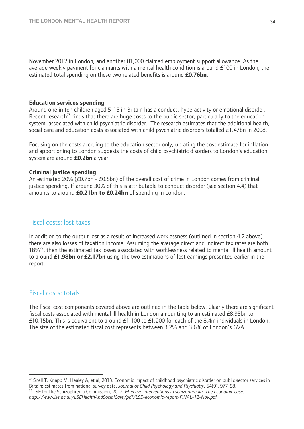November 2012 in London, and another 81,000 claimed employment support allowance. As the average weekly payment for claimants with a mental health condition is around £100 in London, the estimated total spending on these two related benefits is around **£0.76bn**.

#### **Education services spending**

Around one in ten children aged 5-15 in Britain has a conduct, hyperactivity or emotional disorder. Recent research<sup>78</sup> finds that there are huge costs to the public sector, particularly to the education system, associated with child psychiatric disorder. The research estimates that the additional health, social care and education costs associated with child psychiatric disorders totalled £1.47bn in 2008.

Focusing on the costs accruing to the education sector only, uprating the cost estimate for inflation and apportioning to London suggests the costs of child psychiatric disorders to London's education system are around **£0.2bn** a year.

#### **Criminal justice spending**

An estimated 20% (£0.7bn - £0.8bn) of the overall cost of crime in London comes from criminal justice spending. If around 30% of this is attributable to conduct disorder (see section 4.4) that amounts to around **£0.21bn to £0.24bn** of spending in London.

#### Fiscal costs: lost taxes

In addition to the output lost as a result of increased worklessness (outlined in section 4.2 above), there are also losses of taxation income. Assuming the average direct and indirect tax rates are both 18%<sup>79</sup>, then the estimated tax losses associated with worklessness related to mental ill health amount to around **£1.98bn or £2.17bn** using the two estimations of lost earnings presented earlier in the report.

#### Fiscal costs: totals

 $\overline{a}$ 

The fiscal cost components covered above are outlined in the table below. Clearly there are significant fiscal costs associated with mental ill health in London amounting to an estimated £8.95bn to £10.15bn. This is equivalent to around £1,100 to £1,200 for each of the 8.4m individuals in London. The size of the estimated fiscal cost represents between 3.2% and 3.6% of London's GVA.

 $78$  Snell T, Knapp M, Healey A, et al, 2013. Economic impact of childhood psychiatric disorder on public sector services in Britain: estimates from national survey data. Journal of Child Psychology and Psychiatry, 54(9). 977-98.<br><sup>79</sup> LSE for the Schizophrenia Commission, 2012. *Effective interventions in schizophrenia*. *The economic case*. –

*http://www.lse.ac.uk/LSEHealthAndSocialCare/pdf/LSE-economic-report-FINAL-12-Nov.pdf*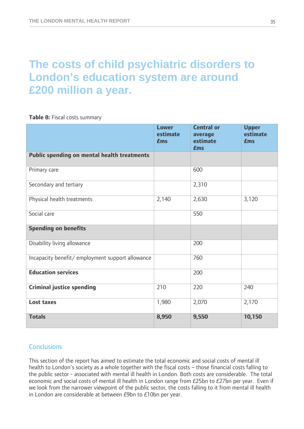# **The costs of child psychiatric disorders to London's education system are around £200 million a year.**

**Table 8:** Fiscal costs summary

|                                                  | <b>Lower</b><br>estimate<br><b>£ms</b> | <b>Central or</b><br>average<br>estimate<br><b>£ms</b> | <b>Upper</b><br>estimate<br><b>£ms</b> |
|--------------------------------------------------|----------------------------------------|--------------------------------------------------------|----------------------------------------|
| Public spending on mental health treatments      |                                        |                                                        |                                        |
| Primary care                                     |                                        | 600                                                    |                                        |
| Secondary and tertiary                           |                                        | 2,310                                                  |                                        |
| Physical health treatments                       | 2,140                                  | 2,630                                                  | 3,120                                  |
| Social care                                      |                                        | 550                                                    |                                        |
| <b>Spending on benefits</b>                      |                                        |                                                        |                                        |
| Disability living allowance                      |                                        | 200                                                    |                                        |
| Incapacity benefit/ employment support allowance |                                        | 760                                                    |                                        |
| <b>Education services</b>                        |                                        | 200                                                    |                                        |
| <b>Criminal justice spending</b>                 | 210                                    | 220                                                    | 240                                    |
| Lost taxes                                       | 1,980                                  | 2,070                                                  | 2,170                                  |
| <b>Totals</b>                                    | 8,950                                  | 9,550                                                  | 10,150                                 |

### **Conclusions**

This section of the report has aimed to estimate the total economic and social costs of mental ill health to London's society as a whole together with the fiscal costs – those financial costs falling to the public sector - associated with mental ill health in London. Both costs are considerable. The total economic and social costs of mental ill health in London range from £25bn to £27bn per year. Even if we look from the narrower viewpoint of the public sector, the costs falling to it from mental ill health in London are considerable at between £9bn to £10bn per year.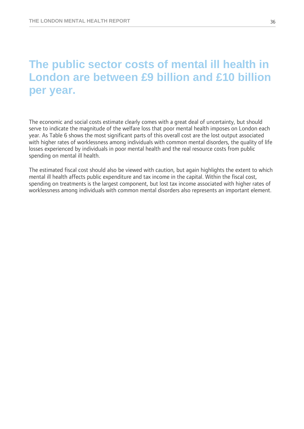## **The public sector costs of mental ill health in London are between £9 billion and £10 billion per year.**

The economic and social costs estimate clearly comes with a great deal of uncertainty, but should serve to indicate the magnitude of the welfare loss that poor mental health imposes on London each year. As Table 6 shows the most significant parts of this overall cost are the lost output associated with higher rates of worklessness among individuals with common mental disorders, the quality of life losses experienced by individuals in poor mental health and the real resource costs from public spending on mental ill health.

The estimated fiscal cost should also be viewed with caution, but again highlights the extent to which mental ill health affects public expenditure and tax income in the capital. Within the fiscal cost, spending on treatments is the largest component, but lost tax income associated with higher rates of worklessness among individuals with common mental disorders also represents an important element.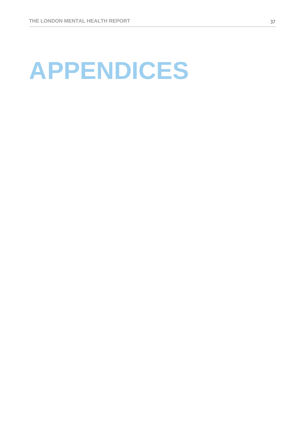# **A PPENDICES**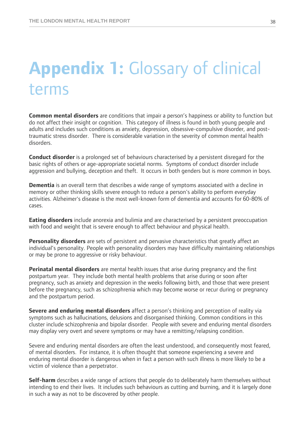# **Appendix 1:** Glossary of clinical terms

**Common mental disorders** are conditions that impair a person's happiness or ability to function but do not affect their insight or cognition. This category of illness is found in both young people and adults and includes such conditions as anxiety, depression, obsessive-compulsive disorder, and posttraumatic stress disorder. There is considerable variation in the severity of common mental health disorders.

**Conduct disorder** is a prolonged set of behaviours characterised by a persistent disregard for the basic rights of others or age-appropriate societal norms. Symptoms of conduct disorder include aggression and bullying, deception and theft. It occurs in both genders but is more common in boys.

**Dementia** is an overall term that describes a wide range of symptoms associated with a decline in memory or other thinking skills severe enough to reduce a person's ability to perform everyday activities. Alzheimer's disease is the most well-known form of dementia and accounts for 60-80% of cases.

**Eating disorders** include anorexia and bulimia and are characterised by a persistent preoccupation with food and weight that is severe enough to affect behaviour and physical health.

**Personality disorders** are sets of persistent and pervasive characteristics that greatly affect an individual's personality. People with personality disorders may have difficulty maintaining relationships or may be prone to aggressive or risky behaviour.

**Perinatal mental disorders** are mental health issues that arise during pregnancy and the first postpartum year. They include both mental health problems that arise during or soon after pregnancy, such as anxiety and depression in the weeks following birth, and those that were present before the pregnancy, such as schizophrenia which may become worse or recur during or pregnancy and the postpartum period.

**Severe and enduring mental disorders** affect a person's thinking and perception of reality via symptoms such as hallucinations, delusions and disorganised thinking. Common conditions in this cluster include schizophrenia and bipolar disorder. People with severe and enduring mental disorders may display very overt and severe symptoms or may have a remitting/relapsing condition.

Severe and enduring mental disorders are often the least understood, and consequently most feared, of mental disorders. For instance, it is often thought that someone experiencing a severe and enduring mental disorder is dangerous when in fact a person with such illness is more likely to be a victim of violence than a perpetrator.

**Self-harm** describes a wide range of actions that people do to deliberately harm themselves without intending to end their lives. It includes such behaviours as cutting and burning, and it is largely done in such a way as not to be discovered by other people.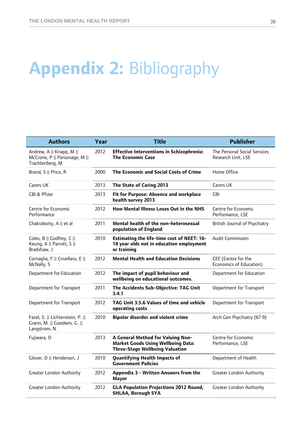# **Appendix 2:** Bibliography

| <b>Authors</b>                                                                   | Year | <b>Title</b>                                                                                                             | <b>Publisher</b>                                   |
|----------------------------------------------------------------------------------|------|--------------------------------------------------------------------------------------------------------------------------|----------------------------------------------------|
| Andrew, A    Knapp, M   <br>McCrone, P    Parsonage, M   <br>Trachtenberg, M     | 2012 | <b>Effective Interventions in Schizophrenia:</b><br><b>The Economic Case</b>                                             | The Personal Social Services<br>Research Unit, LSE |
| Brand, S    Price, R                                                             | 2000 | <b>The Economic and Social Costs of Crime</b>                                                                            | Home Office                                        |
| Carers UK                                                                        | 2013 | The State of Caring 2013                                                                                                 | Carers UK                                          |
| CBI & Pfizer                                                                     | 2013 | Fit for Purpose: Absence and workplace<br>health survey 2013                                                             | <b>CBI</b>                                         |
| Centre for Economic<br>Performance                                               | 2012 | How Mental Illness Loses Out in the NHS                                                                                  | Centre for Economic<br>Performance, LSE            |
| Chakraborty, A    et al                                                          | 2011 | Mental health of the non-heterosexual<br>population of England                                                           | British Journal of Psychiatry                      |
| Coles, B    Godfrey, C   <br>Keung, A    Parrott, S   <br>Bradshaw, J            | 2010 | <b>Estimating the life-time cost of NEET: 16-</b><br>18 year olds not in education employment<br>or training             | <b>Audit Commission</b>                            |
| Cornaglia, F    Crivellaro, E   <br>McNally, S                                   | 2012 | <b>Mental Health and Education Decisions</b>                                                                             | CEE (Centre for the<br>Economics of Education)     |
| Department for Education                                                         | 2012 | The impact of pupil behaviour and<br>wellbeing on educational outcomes.                                                  | Department for Education                           |
| Department for Transport                                                         | 2011 | The Accidents Sub-Objective: TAG Unit<br>3.4.1                                                                           | Department for Transport                           |
| Department for Transport                                                         | 2012 | TAG Unit 3.5.6 Values of time and vehicle<br>operating costs                                                             | Department for Transport                           |
| Fazel, S.    Lichtenstein, P.   <br>Grann, M.    Goodwin, G.   <br>Langstrom, N. | 2010 | <b>Bipolar disorder and violent crime</b>                                                                                | Arch Gen Psychiatry (67:9)                         |
| Fujiwara, D                                                                      | 2013 | A General Method for Valuing Non-<br><b>Market Goods Using Wellbeing Data:</b><br><b>Three-Stage Wellbeing Valuation</b> | Centre for Economic<br>Performance, LSE            |
| Glover, D    Henderson, J                                                        | 2010 | <b>Quantifying Health Impacts of</b><br><b>Government Policies</b>                                                       | Department of Health                               |
| <b>Greater London Authority</b>                                                  | 2012 | Appendix 3 - Written Answers from the<br><b>Mayor</b>                                                                    | Greater London Authority                           |
| <b>Greater London Authority</b>                                                  | 2012 | <b>GLA Population Projections 2012 Round,</b><br><b>SHLAA, Borough SYA</b>                                               | <b>Greater London Authority</b>                    |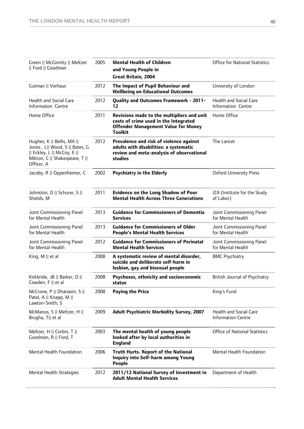| Green    McGinnity    Meltzer<br>   Ford    Goodman                                                                                         | 2005 | <b>Mental Health of Children</b><br>and Young People in<br><b>Great Britain, 2004</b>                                                               | <b>Office for National Statistics</b>                      |
|---------------------------------------------------------------------------------------------------------------------------------------------|------|-----------------------------------------------------------------------------------------------------------------------------------------------------|------------------------------------------------------------|
| Gutman    Vorhaus                                                                                                                           | 2012 | The Impact of Pupil Behaviour and<br><b>Wellbeing on Educational Outcomes</b>                                                                       | University of London                                       |
| <b>Health and Social Care</b><br>Information Centre                                                                                         | 2012 | <b>Quality and Outcomes Framework - 2011-</b><br>12                                                                                                 | Health and Social Care<br>Information Centre               |
| Home Office                                                                                                                                 | 2011 | Revisions made to the multipliers and unit<br>costs of crime used in the Integrated<br><b>Offender Management Value for Money</b><br><b>Toolkit</b> | Home Office                                                |
| Hughes, K    Bellis, MA   <br>Jones, L   Wood, S    Bates, G<br>   Eckley, L    McCoy, E   <br>Mikton, C    Shakespeare, T   <br>Officer, A | 2012 | Prevalence and risk of violence against<br>adults with disabilities: a systematic<br>review and meta-analysis of observational<br>studies           | The Lancet                                                 |
| Jacoby, R    Oppenheimer, C                                                                                                                 | 2002 | <b>Psychiatry in the Elderly</b>                                                                                                                    | <b>Oxford University Press</b>                             |
| Johnston, D    Schurer, S   <br>Shields, M                                                                                                  | 2011 | <b>Evidence on the Long Shadow of Poor</b><br><b>Mental Health Across Three Generations</b>                                                         | IZA (Institute for the Study<br>of Labor)                  |
| Joint Commissioning Panel<br>for Mental Health                                                                                              | 2013 | <b>Guidance for Commissioners of Dementia</b><br><b>Services</b>                                                                                    | Joint Commissioning Panel<br>for Mental Health             |
| Joint Commissioning Panel<br>for Mental Health                                                                                              | 2013 | <b>Guidance for Commissioners of Older</b><br><b>People's Mental Health Services</b>                                                                | Joint Commissioning Panel<br>for Mental Health             |
| Joint Commissioning Panel<br>for Mental Health                                                                                              | 2012 | <b>Guidance for Commissioners of Perinatal</b><br><b>Mental Health Services</b>                                                                     | Joint Commissioning Panel<br>for Mental Health             |
| King, $M \parallel et$ al                                                                                                                   | 2008 | A systematic review of mental disorder,<br>suicide and deliberate self-harm in<br>lesbian, gay and bisexual people                                  | <b>BMC Psychiatry</b>                                      |
| Kirkbride, JB    Barker, D   <br>Cowden, F    et al                                                                                         | 2008 | Psychoses, ethnicity and socioeconomic<br>status                                                                                                    | British Journal of Psychiatry                              |
| McCrone, P    Dhanasiri, S   <br>Patel, A    Knapp, M   <br>Lawton-Smith, S                                                                 | 2008 | <b>Paying the Price</b>                                                                                                                             | King's Fund                                                |
| McManus, S    Meltzer, H   <br>Brugha, T   et al                                                                                            | 2009 | <b>Adult Psychiatric Morbidity Survey, 2007</b>                                                                                                     | <b>Health and Social Care</b><br><b>Information Centre</b> |
| Meltzer, H    Corbin, T   <br>Goodman, R    Ford, T                                                                                         | 2003 | The mental health of young people<br>looked after by local authorities in<br><b>England</b>                                                         | <b>Office of National Statistics</b>                       |
| Mental Health Foundation                                                                                                                    | 2006 | Truth Hurts. Report of the National<br>Inquiry into Self-harm among Young<br>People                                                                 | Mental Health Foundation                                   |
| Mental Health Strategies                                                                                                                    | 2012 | 2011/12 National Survey of Investment in<br><b>Adult Mental Health Services</b>                                                                     | Department of Health                                       |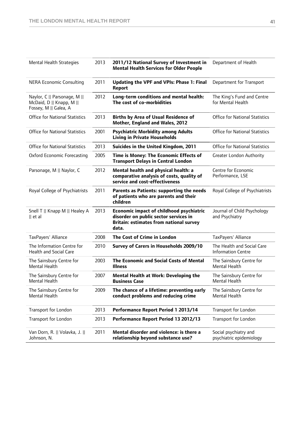| Mental Health Strategies                                                          | 2013 | 2011/12 National Survey of Investment in<br><b>Mental Health Services for Older People</b>                                                          | Department of Health                                    |
|-----------------------------------------------------------------------------------|------|-----------------------------------------------------------------------------------------------------------------------------------------------------|---------------------------------------------------------|
| <b>NERA Economic Consulting</b>                                                   | 2011 | Updating the VPF and VPIs: Phase 1: Final<br>Report                                                                                                 | Department for Transport                                |
| Naylor, C    Parsonage, M   <br>McDaid, D    Knapp, M   <br>Fossey, M    Galea, A | 2012 | Long-term conditions and mental health:<br>The cost of co-morbidities                                                                               | The King's Fund and Centre<br>for Mental Health         |
| <b>Office for National Statistics</b>                                             | 2013 | <b>Births by Area of Usual Residence of</b><br>Mother, England and Wales, 2012                                                                      | <b>Office for National Statistics</b>                   |
| <b>Office for National Statistics</b>                                             | 2001 | <b>Psychiatric Morbidity among Adults</b><br><b>Living in Private Households</b>                                                                    | <b>Office for National Statistics</b>                   |
| <b>Office for National Statistics</b>                                             | 2013 | Suicides in the United Kingdom, 2011                                                                                                                | <b>Office for National Statistics</b>                   |
| <b>Oxford Economic Forecasting</b>                                                | 2005 | Time is Money: The Economic Effects of<br><b>Transport Delays in Central London</b>                                                                 | <b>Greater London Authority</b>                         |
| Parsonage, M    Naylor, C                                                         | 2012 | Mental health and physical health: a<br>comparative analysis of costs, quality of<br>service and cost-effectiveness                                 | Centre for Economic<br>Performance, LSE                 |
| Royal College of Psychiatrists                                                    | 2011 | Parents as Patients: supporting the needs<br>of patients who are parents and their<br>children                                                      | Royal College of Psychiatrists                          |
| Snell T    Knapp M    Healey A<br>$  $ et al                                      | 2013 | <b>Economic impact of childhood psychiatric</b><br>disorder on public sector services in<br><b>Britain: estimates from national survey</b><br>data. | Journal of Child Psychology<br>and Psychiatry           |
| TaxPayers' Alliance                                                               | 2008 | The Cost of Crime in London                                                                                                                         | TaxPayers' Alliance                                     |
| The Information Centre for<br><b>Health and Social Care</b>                       | 2010 | Survey of Carers in Households 2009/10                                                                                                              | The Health and Social Care<br><b>Information Centre</b> |
| The Sainsbury Centre for<br><b>Mental Health</b>                                  | 2003 | The Economic and Social Costs of Mental<br><b>Illness</b>                                                                                           | The Sainsbury Centre for<br>Mental Health               |
| The Sainsbury Centre for<br>Mental Health                                         | 2007 | Mental Health at Work: Developing the<br><b>Business Case</b>                                                                                       | The Sainsbury Centre for<br>Mental Health               |
| The Sainsbury Centre for<br>Mental Health                                         | 2009 | The chance of a lifetime: preventing early<br>conduct problems and reducing crime                                                                   | The Sainsbury Centre for<br>Mental Health               |
| Transport for London                                                              | 2013 | Performance Report Period 1 2013/14                                                                                                                 | Transport for London                                    |
| Transport for London                                                              | 2013 | Performance Report Period 13 2012/13                                                                                                                | Transport for London                                    |
| Van Dorn, R.    Volavka, J.   <br>Johnson, N.                                     | 2011 | Mental disorder and violence: is there a<br>relationship beyond substance use?                                                                      | Social psychiatry and<br>psychiatric epidemiology       |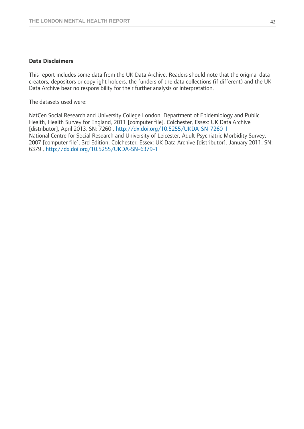#### **Data Disclaimers**

This report includes some data from the UK Data Archive. Readers should note that the original data creators, depositors or copyright holders, the funders of the data collections (if different) and the UK Data Archive bear no responsibility for their further analysis or interpretation.

The datasets used were:

NatCen Social Research and University College London. Department of Epidemiology and Public Health, Health Survey for England, 2011 [computer file]. Colchester, Essex: UK Data Archive [distributor], April 2013. SN: 7260 , http://dx.doi.org/10.5255/UKDA-SN-7260-1 National Centre for Social Research and University of Leicester, Adult Psychiatric Morbidity Survey, 2007 [computer file]. 3rd Edition. Colchester, Essex: UK Data Archive [distributor], January 2011. SN: 6379 , http://dx.doi.org/10.5255/UKDA-SN-6379-1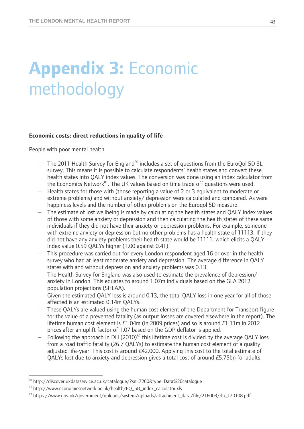# **Appendix 3:** Economic methodology

#### **Economic costs: direct reductions in quality of life**

People with poor mental health

- $-$  The 2011 Health Survey for England<sup>80</sup> includes a set of questions from the EuroQol 5D 3L survey. This means it is possible to calculate respondents' health states and convert these health states into QALY index values. The conversion was done using an index calculator from the Economics Network<sup>81</sup>. The UK values based on time trade off questions were used.
- Health states for those with (those reporting a value of 2 or 3 equivalent to moderate or extreme problems) and without anxiety/ depression were calculated and compared. As were happiness levels and the number of other problems on the Euroqol 5D measure.
- The estimate of lost wellbeing is made by calculating the health states and QALY index values of those with some anxiety or depression and then calculating the health states of these same individuals if they did not have their anxiety or depression problems. For example, someone with extreme anxiety or depression but no other problems has a health state of 11113. If they did not have any anxiety problems their health state would be 11111, which elicits a QALY index value 0.59 QALYs higher (1.00 against 0.41).
- This procedure was carried out for every London respondent aged 16 or over in the health survey who had at least moderate anxiety and depression. The average difference in QALY states with and without depression and anxiety problems was 0.13.
- The Health Survey for England was also used to estimate the prevalence of depression/ anxiety in London. This equates to around 1.07m individuals based on the GLA 2012 population projections (SHLAA).
- Given the estimated QALY loss is around 0.13, the total QALY loss in one year for all of those affected is an estimated 0.14m QALYs.
- These QALYs are valued using the human cost element of the Department for Transport figure for the value of a prevented fatality (as output losses are covered elsewhere in the report). The lifetime human cost element is  $£1.04$ m (in 2009 prices) and so is around  $£1.11$ m in 2012 prices after an uplift factor of 1.07 based on the GDP deflator is applied.
- Following the approach in DH (2010) $^{82}$  this lifetime cost is divided by the average QALY loss from a road traffic fatality (26.7 QALYs) to estimate the human cost element of a quality adjusted life-year. This cost is around £42,000. Applying this cost to the total estimate of QALYs lost due to anxiety and depression gives a total cost of around £5.75bn for adults.

 $\overline{a}$ 

<sup>80</sup> http://discover.ukdataservice.ac.uk/catalogue/?sn=7260&type=Data%20catalogue

<sup>81</sup> http://www.economicsnetwork.ac.uk/health/EQ\_5D\_index\_calculator.xls

<sup>82</sup> https://www.gov.uk/government/uploads/system/uploads/attachment\_data/file/216003/dh\_120108.pdf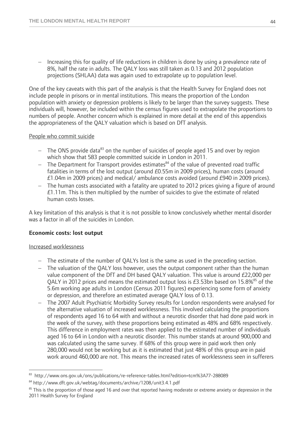- Increasing this for quality of life reductions in children is done by using a prevalence rate of 8%, half the rate in adults. The QALY loss was still taken as 0.13 and 2012 population projections (SHLAA) data was again used to extrapolate up to population level.

One of the key caveats with this part of the analysis is that the Health Survey for England does not include people in prisons or in mental institutions. This means the proportion of the London population with anxiety or depression problems is likely to be larger than the survey suggests. These individuals will, however, be included within the census figures used to extrapolate the proportions to numbers of people. Another concern which is explained in more detail at the end of this appendixis the appropriateness of the QALY valuation which is based on DfT analysis.

#### People who commit suicide

- $-$  The ONS provide data<sup>83</sup> on the number of suicides of people aged 15 and over by region which show that 583 people committed suicide in London in 2011.
- $-$  The Department for Transport provides estimates<sup>84</sup> of the value of prevented road traffic fatalities in terms of the lost output (around £0.55m in 2009 prices), human costs (around £1.04m in 2009 prices) and medical/ ambulance costs avoided (around £940 in 2009 prices).
- The human costs associated with a fatality are uprated to 2012 prices giving a figure of around £1.11m. This is then multiplied by the number of suicides to give the estimate of related human costs losses.

A key limitation of this analysis is that it is not possible to know conclusively whether mental disorder was a factor in all of the suicides in London.

#### **Economic costs: lost output**

#### Increased worklessness

- The estimate of the number of QALYs lost is the same as used in the preceding section.
- The valuation of the QALY loss however, uses the output component rather than the human value component of the DfT and DH based QALY valuation. This value is around £22,000 per OALY in 2012 prices and means the estimated output loss is  $E3.53$ bn based on 15.8%<sup>85</sup> of the 5.6m working age adults in London (Census 2011 figures) experiencing some form of anxiety or depression, and therefore an estimated average QALY loss of 0.13.
- The 2007 Adult Psychiatric Morbidity Survey results for London respondents were analysed for the alternative valuation of increased worklessness. This involved calculating the proportions of respondents aged 16 to 64 with and without a neurotic disorder that had done paid work in the week of the survey, with these proportions being estimated as 48% and 68% respectively. This difference in employment rates was then applied to the estimated number of individuals aged 16 to 64 in London with a neurotic disorder. This number stands at around 900,000 and was calculated using the same survey. If 68% of this group were in paid work then only 280,000 would not be working but as it is estimated that just 48% of this group are in paid work around 460,000 are not. This means the increased rates of worklessness seen in sufferers

 $\overline{a}$ 83 http://www.ons.gov.uk/ons/publications/re-reference-tables.html?edition=tcm%3A77-288089

<sup>84</sup> http://www.dft.gov.uk/webtag/documents/archive/1208/unit3.4.1.pdf

 $85$  This is the proportion of those aged 16 and over that reported having moderate or extreme anxiety or depression in the 2011 Health Survey for England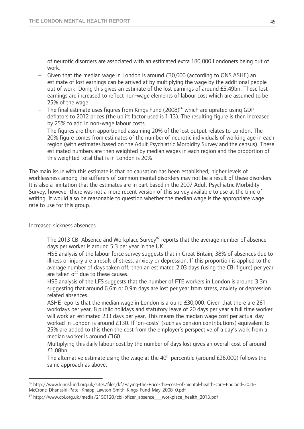of neurotic disorders are associated with an estimated extra 180,000 Londoners being out of work.

- $-$  Given that the median wage in London is around £30,000 (according to ONS ASHE) an estimate of lost earnings can be arrived at by multiplying the wage by the additional people out of work. Doing this gives an estimate of the lost earnings of around £5.49bn. These lost earnings are increased to reflect non-wage elements of labour cost which are assumed to be 25% of the wage.
- The final estimate uses figures from Kings Fund  $(2008)^{86}$  which are uprated using GDP deflators to 2012 prices (the uplift factor used is 1.13). The resulting figure is then increased by 25% to add in non-wage labour costs.
- The figures are then apportioned assuming 20% of the lost output relates to London. The 20% figure comes from estimates of the number of neurotic individuals of working age in each region (with estimates based on the Adult Psychiatric Morbidity Survey and the census). These estimated numbers are then weighted by median wages in each region and the proportion of this weighted total that is in London is 20%.

The main issue with this estimate is that no causation has been established; higher levels of worklessness among the sufferers of common mental disorders may not be a result of these disorders. It is also a limitation that the estimates are in part based in the 2007 Adult Psychiatric Morbidity Survey, however there was not a more recent version of this survey available to use at the time of writing. It would also be reasonable to question whether the median wage is the appropriate wage rate to use for this group.

#### Increased sickness absences

- The 2013 CBI Absence and Workplace Survey<sup>87</sup> reports that the average number of absence days per worker is around 5.3 per year in the UK.
- HSE analysis of the labour force survey suggests that in Great Britain, 38% of absences due to illness or injury are a result of stress, anxiety or depression. If this proportion is applied to the average number of days taken off, then an estimated 2.03 days (using the CBI figure) per year are taken off due to these causes.
- HSE analysis of the LFS suggests that the number of FTE workers in London is around 3.3m suggesting that around 6.6m or 0.9m days are lost per year from stress, anxiety or depression related absences.
- ASHE reports that the median wage in London is around £30,000. Given that there are 261 workdays per year, 8 public holidays and statutory leave of 20 days per year a full time worker will work an estimated 233 days per year. This means the median wage cost per actual day worked in London is around £130. If 'on-costs' (such as pension contributions) equivalent to 25% are added to this then the cost from the employer's perspective of a day's work from a median worker is around £160.
- Multiplying this daily labour cost by the number of days lost gives an overall cost of around £1.08bn.
- The alternative estimate using the wage at the  $40<sup>th</sup>$  percentile (around £26,000) follows the same approach as above.

 $\overline{a}$ 86 http://www.kingsfund.org.uk/sites/files/kf/Paying-the-Price-the-cost-of-mental-health-care-England-2026- McCrone-Dhanasiri-Patel-Knapp-Lawton-Smith-Kings-Fund-May-2008\_0.pdf

 $87$  http://www.cbi.org.uk/media/2150120/cbi-pfizer\_absence\_\_\_workplace\_health\_2013.pdf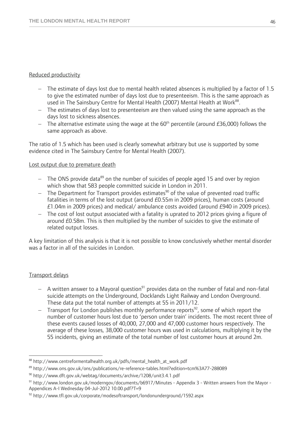#### Reduced productivity

- The estimate of days lost due to mental health related absences is multiplied by a factor of 1.5 to give the estimated number of days lost due to presenteeism. This is the same approach as used in The Sainsbury Centre for Mental Health (2007) Mental Health at Work<sup>88</sup>.
- The estimates of days lost to presenteeism are then valued using the same approach as the days lost to sickness absences.
- $-$  The alternative estimate using the wage at the 60<sup>th</sup> percentile (around £36,000) follows the same approach as above.

The ratio of 1.5 which has been used is clearly somewhat arbitrary but use is supported by some evidence cited in The Sainsbury Centre for Mental Health (2007).

#### Lost output due to premature death

- $-$  The ONS provide data<sup>89</sup> on the number of suicides of people aged 15 and over by region which show that 583 people committed suicide in London in 2011.
- $-$  The Department for Transport provides estimates<sup>90</sup> of the value of prevented road traffic fatalities in terms of the lost output (around £0.55m in 2009 prices), human costs (around £1.04m in 2009 prices) and medical/ ambulance costs avoided (around £940 in 2009 prices).
- The cost of lost output associated with a fatality is uprated to 2012 prices giving a figure of around £0.58m. This is then multiplied by the number of suicides to give the estimate of related output losses.

A key limitation of this analysis is that it is not possible to know conclusively whether mental disorder was a factor in all of the suicides in London.

#### Transport delays

 $\overline{a}$ 

- $-$  A written answer to a Mayoral question<sup>91</sup> provides data on the number of fatal and non-fatal suicide attempts on the Underground, Docklands Light Railway and London Overground. These data put the total number of attempts at 55 in 2011/12.
- $-$  Transport for London publishes monthly performance reports<sup>92</sup>, some of which report the number of customer hours lost due to 'person under train' incidents. The most recent three of these events caused losses of 40,000, 27,000 and 47,000 customer hours respectively. The average of these losses, 38,000 customer hours was used in calculations, multiplying it by the 55 incidents, giving an estimate of the total number of lost customer hours at around 2m.

<sup>88</sup> http://www.centreformentalhealth.org.uk/pdfs/mental\_health\_at\_work.pdf

<sup>&</sup>lt;sup>89</sup> http://www.ons.gov.uk/ons/publications/re-reference-tables.html?edition=tcm%3A77-288089 <br><sup>90</sup> http://www.dft.gov.uk/webtag/documents/archive/1208/unit3.4.1.pdf

<sup>91</sup> http://www.london.gov.uk/moderngov/documents/b6917/Minutes - Appendix 3 - Written answers from the Mayor -Appendices A-I Wednesday 04-Jul-2012 10.00.pdf?T=9

<sup>92</sup> http://www.tfl.gov.uk/corporate/modesoftransport/londonunderground/1592.aspx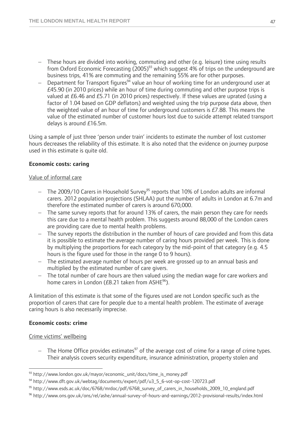- These hours are divided into working, commuting and other (e.g. leisure) time using results from Oxford Economic Forecasting (2005)<sup>93</sup> which suggest 4% of trips on the underground are business trips, 41% are commuting and the remaining 55% are for other purposes.
- $\overline{a}$  Department for Transport figures<sup>94</sup> value an hour of working time for an underground user at £45.90 (in 2010 prices) while an hour of time during commuting and other purpose trips is valued at £6.46 and £5.71 (in 2010 prices) respectively. If these values are uprated (using a factor of 1.04 based on GDP deflators) and weighted using the trip purpose data above, then the weighted value of an hour of time for underground customers is £7.88. This means the value of the estimated number of customer hours lost due to suicide attempt related transport delays is around £16.5m.

Using a sample of just three 'person under train' incidents to estimate the number of lost customer hours decreases the reliability of this estimate. It is also noted that the evidence on journey purpose used in this estimate is quite old.

#### **Economic costs: caring**

#### Value of informal care

- $-$  The 2009/10 Carers in Household Survey<sup>95</sup> reports that 10% of London adults are informal carers. 2012 population projections (SHLAA) put the number of adults in London at 6.7m and therefore the estimated number of carers is around 670,000.
- The same survey reports that for around 13% of carers, the main person they care for needs this care due to a mental health problem. This suggests around 88,000 of the London carers are providing care due to mental health problems.
- The survey reports the distribution in the number of hours of care provided and from this data it is possible to estimate the average number of caring hours provided per week. This is done by multiplying the proportions for each category by the mid-point of that category (e.g. 4.5 hours is the figure used for those in the range 0 to 9 hours).
- The estimated average number of hours per week are grossed up to an annual basis and multiplied by the estimated number of care givers.
- The total number of care hours are then valued using the median wage for care workers and home carers in London ( $E$ 8.21 taken from ASHE<sup>96</sup>).

A limitation of this estimate is that some of the figures used are not London specific such as the proportion of carers that care for people due to a mental health problem. The estimate of average caring hours is also necessarily imprecise.

#### **Economic costs: crime**

#### Crime victims' wellbeing

 $-$  The Home Office provides estimates<sup>97</sup> of the average cost of crime for a range of crime types. Their analysis covers security expenditure, insurance administration, property stolen and

 $\overline{a}$ 93 http://www.london.gov.uk/mayor/economic\_unit/docs/time\_is\_money.pdf

<sup>94</sup> http://www.dft.gov.uk/webtag/documents/expert/pdf/u3\_5\_6-vot-op-cost-120723.pdf

<sup>95</sup> http://www.esds.ac.uk/doc/6768/mrdoc/pdf/6768\_survey\_of\_carers\_in\_households\_2009\_10\_england.pdf

<sup>96</sup> http://www.ons.gov.uk/ons/rel/ashe/annual-survey-of-hours-and-earnings/2012-provisional-results/index.html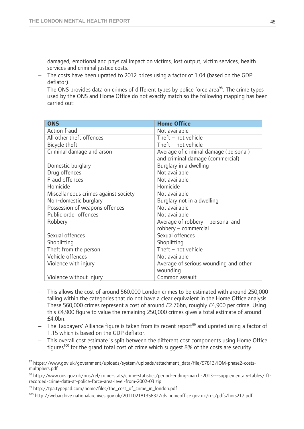damaged, emotional and physical impact on victims, lost output, victim services, health services and criminal justice costs.

- The costs have been uprated to 2012 prices using a factor of 1.04 (based on the GDP deflator).
- $-$  The ONS provides data on crimes of different types by police force area<sup>98</sup>. The crime types used by the ONS and Home Office do not exactly match so the following mapping has been carried out:

| <b>ONS</b>                           | <b>Home Office</b>                    |
|--------------------------------------|---------------------------------------|
| <b>Action fraud</b>                  | Not available                         |
| All other theft offences             | Theft - not vehicle                   |
| Bicycle theft                        | Theft - not vehicle                   |
| Criminal damage and arson            | Average of criminal damage (personal) |
|                                      | and criminal damage (commercial)      |
| Domestic burglary                    | Burglary in a dwelling                |
| Drug offences                        | Not available                         |
| Fraud offences                       | Not available                         |
| Homicide                             | Homicide                              |
| Miscellaneous crimes against society | Not available                         |
| Non-domestic burglary                | Burglary not in a dwelling            |
| Possession of weapons offences       | Not available                         |
| Public order offences                | Not available                         |
| Robbery                              | Average of robbery - personal and     |
|                                      | robbery - commercial                  |
| Sexual offences                      | Sexual offences                       |
| Shoplifting                          | Shoplifting                           |
| Theft from the person                | Theft - not vehicle                   |
| Vehicle offences                     | Not available                         |
| Violence with injury                 | Average of serious wounding and other |
|                                      | wounding                              |
| Violence without injury              | Common assault                        |

- This allows the cost of around 560,000 London crimes to be estimated with around 250,000 falling within the categories that do not have a clear equivalent in the Home Office analysis. These 560,000 crimes represent a cost of around £2.76bn, roughly £4,900 per crime. Using this £4,900 figure to value the remaining 250,000 crimes gives a total estimate of around £4.0bn.
- The Taxpayers' Alliance figure is taken from its recent report<sup>99</sup> and uprated using a factor of 1.15 which is based on the GDP deflator.
- This overall cost estimate is split between the different cost components using Home Office figures<sup>100</sup> for the grand total cost of crime which suggest 8% of the costs are security

<sup>97</sup> https://www.qov.uk/qovernment/uploads/system/uploads/attachment\_data/file/97813/IOM-phase2-costsmultipliers.pdf

<sup>98</sup> http://www.ons.gov.uk/ons/rel/crime-stats/crime-statistics/period-ending-march-2013---supplementary-tables/rftrecorded-crime-data-at-police-force-area-level-from-2002-03.zip<br><sup>99</sup> http://tpa.typepad.com/home/files/the\_cost\_of\_crime\_in\_london.pdf

<sup>100</sup> http://webarchive.nationalarchives.gov.uk/20110218135832/rds.homeoffice.gov.uk/rds/pdfs/hors217.pdf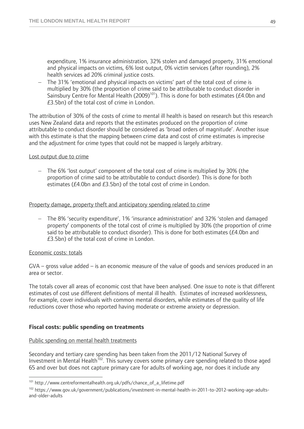expenditure, 1% insurance administration, 32% stolen and damaged property, 31% emotional and physical impacts on victims, 6% lost output, 0% victim services (after rounding), 2% health services ad 20% criminal justice costs.

 The 31% 'emotional and physical impacts on victims' part of the total cost of crime is multiplied by 30% (the proportion of crime said to be attributable to conduct disorder in Sainsbury Centre for Mental Health (2009)<sup>101</sup>). This is done for both estimates (£4.0bn and £3.5bn) of the total cost of crime in London.

The attribution of 30% of the costs of crime to mental ill health is based on research but this research uses New Zealand data and reports that the estimates produced on the proportion of crime attributable to conduct disorder should be considered as 'broad orders of magnitude'. Another issue with this estimate is that the mapping between crime data and cost of crime estimates is imprecise and the adjustment for crime types that could not be mapped is largely arbitrary.

#### Lost output due to crime

 The 6% 'lost output' component of the total cost of crime is multiplied by 30% (the proportion of crime said to be attributable to conduct disorder). This is done for both estimates (£4.0bn and £3.5bn) of the total cost of crime in London.

#### Property damage, property theft and anticipatory spending related to crime

 The 8% 'security expenditure', 1% 'insurance administration' and 32% 'stolen and damaged property' components of the total cost of crime is multiplied by 30% (the proportion of crime said to be attributable to conduct disorder). This is done for both estimates ( $£4.0$ bn and £3.5bn) of the total cost of crime in London.

#### Economic costs: totals

 $\overline{a}$ 

GVA – gross value added – is an economic measure of the value of goods and services produced in an area or sector.

The totals cover all areas of economic cost that have been analysed. One issue to note is that different estimates of cost use different definitions of mental ill health. Estimates of increased worklessness, for example, cover individuals with common mental disorders, while estimates of the quality of life reductions cover those who reported having moderate or extreme anxiety or depression.

#### **Fiscal costs: public spending on treatments**

#### Public spending on mental health treatments

Secondary and tertiary care spending has been taken from the 2011/12 National Survey of Investment in Mental Health<sup>102</sup>. This survey covers some primary care spending related to those aged 65 and over but does not capture primary care for adults of working age, nor does it include any

<sup>101</sup> http://www.centreformentalhealth.org.uk/pdfs/chance\_of\_a\_lifetime.pdf

<sup>102</sup> https://www.gov.uk/government/publications/investment-in-mental-health-in-2011-to-2012-working-age-adultsand-older-adults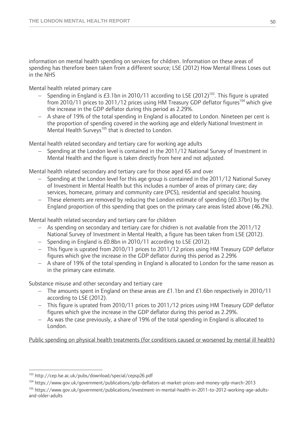information on mental health spending on services for children. Information on these areas of spending has therefore been taken from a different source; LSE (2012) How Mental Illness Loses out in the NHS

Mental health related primary care

- Spending in England is £3.1bn in 2010/11 according to LSE (2012)<sup>103</sup>. This figure is uprated from 2010/11 prices to 2011/12 prices using HM Treasury GDP deflator figures<sup>104</sup> which give the increase in the GDP deflator during this period as 2.29%.
- A share of 19% of the total spending in England is allocated to London. Nineteen per cent is the proportion of spending covered in the working age and elderly National Investment in Mental Health Surveys<sup>105</sup> that is directed to London.

Mental health related secondary and tertiary care for working age adults

 Spending at the London level is contained in the 2011/12 National Survey of Investment in Mental Health and the figure is taken directly from here and not adjusted.

Mental health related secondary and tertiary care for those aged 65 and over

- Spending at the London level for this age group is contained in the 2011/12 National Survey of Investment in Mental Health but this includes a number of areas of primary care; day services, homecare, primary and community care (PCS), residential and specialist housing.
- These elements are removed by reducing the London estimate of spending (£0.37bn) by the England proportion of this spending that goes on the primary care areas listed above (46.2%).

Mental health related secondary and tertiary care for children

- As spending on secondary and tertiary care for chidren is not available from the 2011/12 National Survey of Investment in Mental Health, a figure has been taken from LSE (2012).
- $-$  Spending in England is £0.8bn in 2010/11 according to LSE (2012).
- This figure is uprated from 2010/11 prices to 2011/12 prices using HM Treasury GDP deflator figures which give the increase in the GDP deflator during this period as 2.29%
- A share of 19% of the total spending in England is allocated to London for the same reason as in the primary care estimate.

Substance misuse and other secondary and tertiary care

- The amounts spent in England on these areas are  $E1.1$ bn and  $E1.6$ bn respectively in 2010/11 according to LSE (2012).
- This figure is uprated from 2010/11 prices to 2011/12 prices using HM Treasury GDP deflator figures which give the increase in the GDP deflator during this period as 2.29%.
- As was the case previously, a share of 19% of the total spending in England is allocated to London.

Public spending on physical health treatments (for conditions caused or worsened by mental ill health)

 $\overline{a}$ 

<sup>103</sup> http://cep.lse.ac.uk/pubs/download/special/cepsp26.pdf

<sup>104</sup> https://www.gov.uk/government/publications/gdp-deflators-at-market-prices-and-money-gdp-march-2013

<sup>&</sup>lt;sup>105</sup> https://www.gov.uk/government/publications/investment-in-mental-health-in-2011-to-2012-working-age-adultsand-older-adults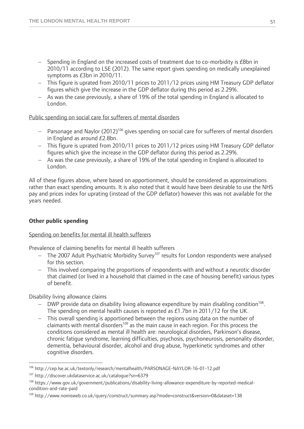- Spending in England on the increased costs of treatment due to co-morbidity is £8bn in 2010/11 according to LSE (2012). The same report gives spending on medically unexplained symptoms as £3bn in 2010/11.
- This figure is uprated from 2010/11 prices to 2011/12 prices using HM Treasury GDP deflator figures which give the increase in the GDP deflator during this period as 2.29%.
- As was the case previously, a share of 19% of the total spending in England is allocated to London.

#### Public spending on social care for sufferers of mental disorders

- $-$  Parsonage and Naylor (2012)<sup>106</sup> gives spending on social care for sufferers of mental disorders in England as around £2.8bn.
- This figure is uprated from 2010/11 prices to 2011/12 prices using HM Treasury GDP deflator figures which give the increase in the GDP deflator during this period as 2.29%.
- As was the case previously, a share of 19% of the total spending in England is allocated to London.

All of these figures above, where based on apportionment, should be considered as approximations rather than exact spending amounts. It is also noted that it would have been desirable to use the NHS pay and prices index for uprating (instead of the GDP deflator) however this was not available for the years needed.

#### **Other public spending**

#### Spending on benefits for mental ill health sufferers

Prevalence of claiming benefits for mental ill health sufferers

- $-$  The 2007 Adult Psychiatric Morbidity Survey<sup>107</sup> results for London respondents were analysed for this section.
- This involved comparing the proportions of respondents with and without a neurotic disorder that claimed (or lived in a household that claimed in the case of housing benefit) various types of benefit.

Disability living allowance claims

- $-$  DWP provide data on disability living allowance expenditure by main disabling condition<sup>108</sup>. The spending on mental health causes is reported as £1.7bn in 2011/12 for the UK.
- This overall spending is apportioned between the regions using data on the number of claimants with mental disorders<sup>109</sup> as the main cause in each region. For this process the conditions considered as mental ill health are: neurological disorders, Parkinson's disease, chronic fatigue syndrome, learning difficulties, psychosis, psychoneurosis, personality disorder, dementia, behavioural disorder, alcohol and drug abuse, hyperkinetic syndromes and other cognitive disorders.

 $\overline{a}$ <sup>106</sup> http://cep.lse.ac.uk/textonly/research/mentalhealth/PARSONAGE-NAYLOR-16-01-12.pdf<br><sup>107</sup> http://discover.ukdataservice.ac.uk/catalogue?sn=6379

<sup>108</sup> https://www.gov.uk/government/publications/disability-living-allowance-expenditure-by-reported-medicalcondition-and-rate-paid

<sup>&</sup>lt;sup>109</sup> http://www.nomisweb.co.uk/query/construct/summary.asp?mode=construct&version=0&dataset=138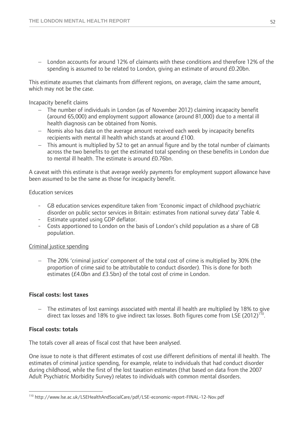London accounts for around 12% of claimants with these conditions and therefore 12% of the spending is assumed to be related to London, giving an estimate of around £0.20bn.

This estimate assumes that claimants from different regions, on average, claim the same amount, which may not be the case.

Incapacity benefit claims

- The number of individuals in London (as of November 2012) claiming incapacity benefit (around 65,000) and employment support allowance (around 81,000) due to a mental ill health diagnosis can be obtained from Nomis.
- Nomis also has data on the average amount received each week by incapacity benefits recipients with mental ill health which stands at around £100.
- This amount is multiplied by 52 to get an annual figure and by the total number of claimants across the two benefits to get the estimated total spending on these benefits in London due to mental ill health. The estimate is around £0.76bn.

A caveat with this estimate is that average weekly payments for employment support allowance have been assumed to be the same as those for incapacity benefit.

Education services

- GB education services expenditure taken from 'Economic impact of childhood psychiatric disorder on public sector services in Britain: estimates from national survey data' Table 4.
- Estimate uprated using GDP deflator.
- Costs apportioned to London on the basis of London's child population as a share of GB population.

#### Criminal justice spending

 The 20% 'criminal justice' component of the total cost of crime is multiplied by 30% (the proportion of crime said to be attributable to conduct disorder). This is done for both estimates (£4.0bn and £3.5bn) of the total cost of crime in London.

#### **Fiscal costs: lost taxes**

 The estimates of lost earnings associated with mental ill health are multiplied by 18% to give direct tax losses and 18% to give indirect tax losses. Both figures come from LSE (2012)<sup>110</sup>.

#### **Fiscal costs: totals**

 $\overline{a}$ 

The totals cover all areas of fiscal cost that have been analysed.

One issue to note is that different estimates of cost use different definitions of mental ill health. The estimates of criminal justice spending, for example, relate to individuals that had conduct disorder during childhood, while the first of the lost taxation estimates (that based on data from the 2007 Adult Psychiatric Morbidity Survey) relates to individuals with common mental disorders.

<sup>110</sup> http://www.lse.ac.uk/LSEHealthAndSocialCare/pdf/LSE-economic-report-FINAL-12-Nov.pdf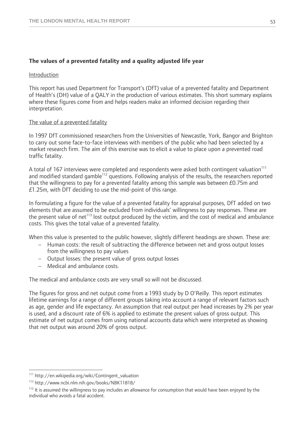#### **The values of a prevented fatality and a quality adjusted life year**

#### Introduction

This report has used Department for Transport's (DfT) value of a prevented fatality and Department of Health's (DH) value of a QALY in the production of various estimates. This short summary explains where these figures come from and helps readers make an informed decision regarding their interpretation.

#### The value of a prevented fatality

In 1997 DfT commissioned researchers from the Universities of Newcastle, York, Bangor and Brighton to carry out some face-to-face interviews with members of the public who had been selected by a market research firm. The aim of this exercise was to elicit a value to place upon a prevented road traffic fatality.

A total of 167 interviews were completed and respondents were asked both contingent valuation<sup>111</sup> and modified standard gamble<sup>112</sup> questions. Following analysis of the results, the researchers reported that the willingness to pay for a prevented fatality among this sample was between £0.75m and £1.25m, with DfT deciding to use the mid-point of this range.

In formulating a figure for the value of a prevented fatality for appraisal purposes, DfT added on two elements that are assumed to be excluded from individuals' willingness to pay responses. These are the present value of net<sup>113</sup> lost output produced by the victim, and the cost of medical and ambulance costs. This gives the total value of a prevented fatality.

When this value is presented to the public however, slightly different headings are shown. These are:

- Human costs: the result of subtracting the difference between net and gross output losses from the willingness to pay values
- Output losses: the present value of gross output losses
- Medical and ambulance costs.

The medical and ambulance costs are very small so will not be discussed.

The figures for gross and net output come from a 1993 study by D O'Reilly. This report estimates lifetime earnings for a range of different groups taking into account a range of relevant factors such as age, gender and life expectancy. An assumption that real output per head increases by 2% per year is used, and a discount rate of 6% is applied to estimate the present values of gross output. This estimate of net output comes from using national accounts data which were interpreted as showing that net output was around 20% of gross output.

 $\overline{a}$ 

<sup>111</sup> http://en.wikipedia.org/wiki/Contingent\_valuation

<sup>112</sup> http://www.ncbi.nlm.nih.gov/books/NBK11818/

<sup>&</sup>lt;sup>113</sup> It is assumed the willingness to pay includes an allowance for consumption that would have been enjoyed by the individual who avoids a fatal accident.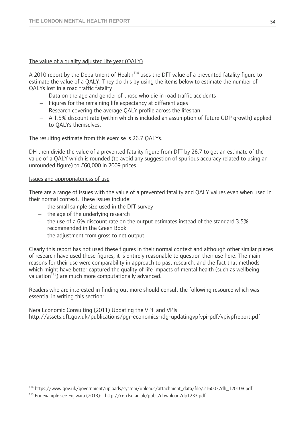#### The value of a quality adjusted life year (QALY)

A 2010 report by the Department of Health $114$  uses the DfT value of a prevented fatality figure to estimate the value of a QALY. They do this by using the items below to estimate the number of QALYs lost in a road traffic fatality

- Data on the age and gender of those who die in road traffic accidents
- $-$  Figures for the remaining life expectancy at different ages
- Research covering the average QALY profile across the lifespan
- A 1.5% discount rate (within which is included an assumption of future GDP growth) applied to QALYs themselves.

The resulting estimate from this exercise is 26.7 QALYs.

DH then divide the value of a prevented fatality figure from DfT by 26.7 to get an estimate of the value of a QALY which is rounded (to avoid any suggestion of spurious accuracy related to using an unrounded figure) to £60,000 in 2009 prices.

#### Issues and appropriateness of use

 $\overline{a}$ 

There are a range of issues with the value of a prevented fatality and QALY values even when used in their normal context. These issues include:

- $-$  the small sample size used in the DfT survey
- $-$  the age of the underlying research
- the use of a 6% discount rate on the output estimates instead of the standard 3.5% recommended in the Green Book
- $-$  the adjustment from gross to net output.

Clearly this report has not used these figures in their normal context and although other similar pieces of research have used these figures, it is entirely reasonable to question their use here. The main reasons for their use were comparability in approach to past research, and the fact that methods which might have better captured the quality of life impacts of mental health (such as wellbeing valuation<sup>115</sup>) are much more computationally advanced.

Readers who are interested in finding out more should consult the following resource which was essential in writing this section:

Nera Economic Consulting (2011) Updating the VPF and VPIs http://assets.dft.gov.uk/publications/pgr-economics-rdg-updatingvpfvpi-pdf/vpivpfreport.pdf

<sup>114</sup> https://www.gov.uk/government/uploads/system/uploads/attachment\_data/file/216003/dh\_120108.pdf

<sup>115</sup> For example see Fujiwara (2013): http://cep.lse.ac.uk/pubs/download/dp1233.pdf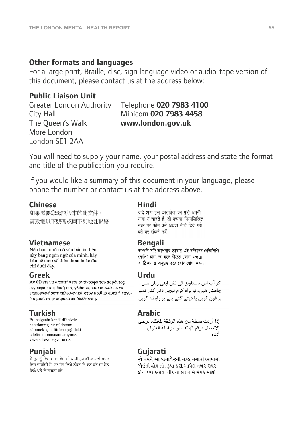### **Other formats and languages**

For a large print, Braille, disc, sign language video or audio-tape version of this document, please contact us at the address below:

### **Public Liaison Unit**

The Queen's Walk **www.london.gov.uk** More London London SE1 2AA

# Greater London Authority Telephone **020 7983 4100** City Hall Minicom **020 7983 4458**

You will need to supply your name, your postal address and state the format and title of the publication you require.

If you would like a summary of this document in your language, please phone the number or contact us at the address above.

**Chinese**<br>加果需要您<del>因</del>語版本的此文件, यदि आप इस दस्तावेज की प्रति अपनी 如果需要您母語版本的此文件, 請致電以下號碼或與下列地址聯絡

này bằng ngôn ngữ của mình, hãy liên hê theo số điên thoại hoặc địa chỉ dưới đây.

**Greek Urdu**  εγγράφου στη δική σας γλώσσα, παρακαλείστε να επικοινωνήσετε τηλεφωνικά στον αριθμό αυτό ή ταχυδρομικά στην παρακάτω διεύθυνση.

**Turkish Arabic Bu belgenin kendi dilinizde Arabic Arabic Arabic Arabic Arabic Arabic** hazırlanmış bir nüshasını edinmek için, lütfen aşağıdaki telefon numarasını arayınız veya adrese başvurunuz.

ਜੇ ਤੁਹਾਨੂੰ ਇਸ ਦਸਤਾਵੇਜ਼ ਦੀ ਕਾਪੀ ਤੁਹਾਡੀ ਆਪਣੀ ਭਾਸ਼ਾ ਵਿਚ ਚਾਹੀਦੀ ਹੈ, ਤਾਂ ਹੇਠ ਲਿਖੇ ਨੰਬਰ 'ਤੇ ਫ਼ੋਨ ਕਰੋ ਜਾਂ ਹੇਠ ਲਿਖੇ ਪਤੇ 'ਤੇ ਰਾਬਤਾ ਕਰੋ:

भाषा में चाहते हैं, तो कृपया निम्नलिखित नंबर पर फोन करें अथवा नीचे दिये गये पते पर संपर्क करें

**Vietnamese Bengali**  (কপি) চান, তা হলে নীচের ফোন নম্বরে বা ঠিকানায় অনুগ্রহ করে যোগাযোগ করুন।

چاھتے ھیں، تو براہ کرم نیچے دئے گئے نمبر پر فون کریں یا دیئے گئے پتے پر رابطه کریں

اذا أر دت نسخة من هذه الوثيقة بلغتك، بر جي الاتصال برقم الهاتف أو مر اسلة العنوان أدذاه

### **Punjabi Gujarati**

જો તમને આ દસ્તાવેજની નકલ તમારી ભાષામાં જોઇતી હોય તો. કપા કરી આપેલ નંબર ઉપર કોન કરો અથવા નીચેના સરનામે સંપર્ક સાઘો.